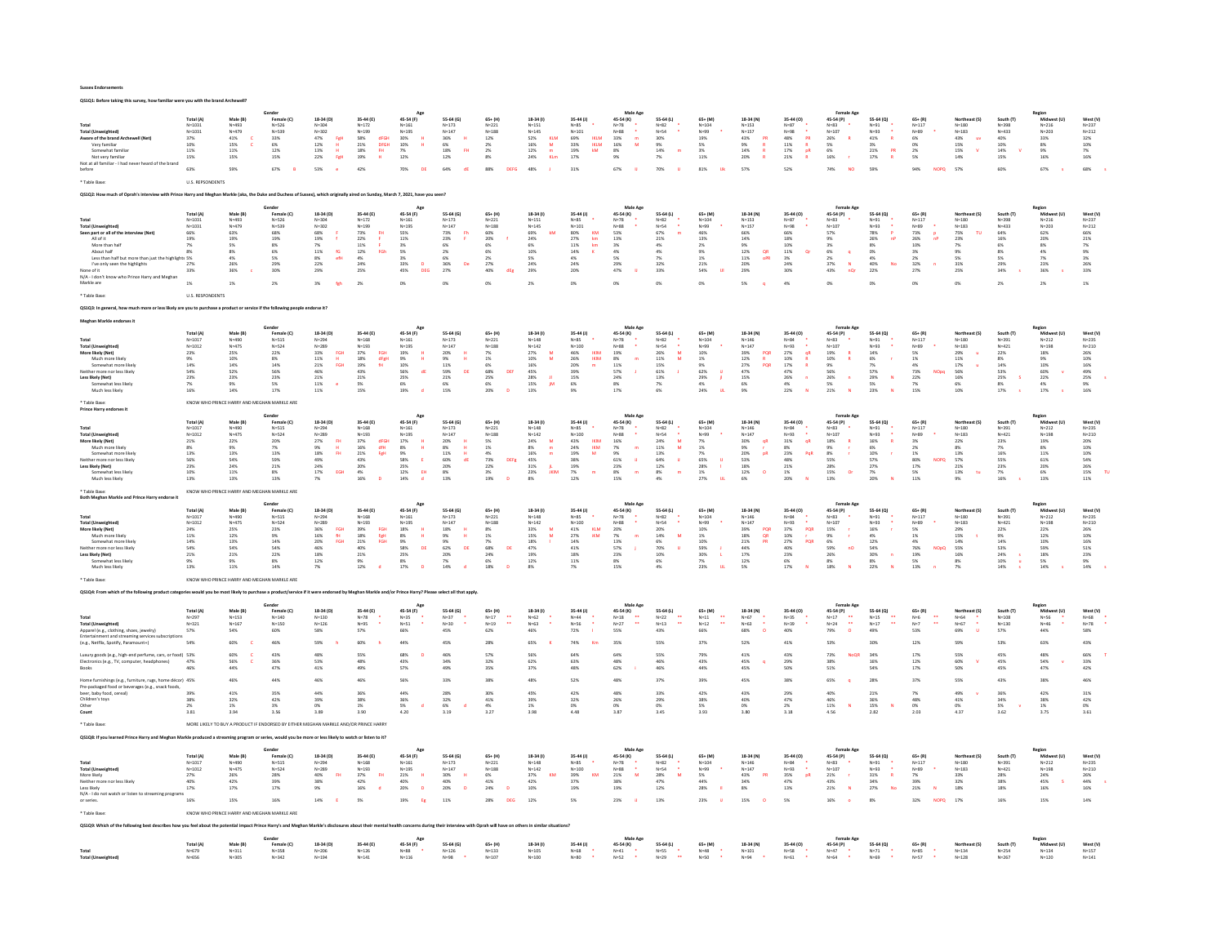| <b>Sussex Endorsements</b> |
|----------------------------|
|----------------------------|

| OS1O1: Before taking this survey, how familiar were you with the brand Archewell?                                                                                                                                                                                                                             |                                                                                                       |                                                                                           |                                                                                                                                                |                                                                                                                        |                                                                                                                         |                                                                                                                                                                                |                                                                                                                  |                                                                                                                                                  |                                                                                                                                         |                                                                                                                                      |                                                                                                                        |                                                                                                       |                                                                                                                         |                                                                                                                 |                                                                                                                                          |                                                                                                                                           |                                                                                                |                                                                                                 |                                                                                              |                                                                                                                     |                                                                                                                                   |                                                                                                                               |
|---------------------------------------------------------------------------------------------------------------------------------------------------------------------------------------------------------------------------------------------------------------------------------------------------------------|-------------------------------------------------------------------------------------------------------|-------------------------------------------------------------------------------------------|------------------------------------------------------------------------------------------------------------------------------------------------|------------------------------------------------------------------------------------------------------------------------|-------------------------------------------------------------------------------------------------------------------------|--------------------------------------------------------------------------------------------------------------------------------------------------------------------------------|------------------------------------------------------------------------------------------------------------------|--------------------------------------------------------------------------------------------------------------------------------------------------|-----------------------------------------------------------------------------------------------------------------------------------------|--------------------------------------------------------------------------------------------------------------------------------------|------------------------------------------------------------------------------------------------------------------------|-------------------------------------------------------------------------------------------------------|-------------------------------------------------------------------------------------------------------------------------|-----------------------------------------------------------------------------------------------------------------|------------------------------------------------------------------------------------------------------------------------------------------|-------------------------------------------------------------------------------------------------------------------------------------------|------------------------------------------------------------------------------------------------|-------------------------------------------------------------------------------------------------|----------------------------------------------------------------------------------------------|---------------------------------------------------------------------------------------------------------------------|-----------------------------------------------------------------------------------------------------------------------------------|-------------------------------------------------------------------------------------------------------------------------------|
| Total<br><b>Total (Unweighted)</b><br>Aware of the brand Archewell (Net)<br>Very familiar<br>Somewhat familia<br>Not very familiar<br>Not at all familiar - I had never heard of the bran<br>before<br>* Table Base                                                                                           | Total (A)<br>$N = 1031$<br>$N = 1031$<br>37%<br>10%<br>$11\%$<br>15%<br>63%<br>U.S. REPSONDENTS       | Male (B)<br>$N = 493$<br>$N = 479$<br>$41\%$<br>15%<br>$11\%$<br>15%<br>59%               | Gende<br>Female (C)<br>$N = 526$<br>$N = 529$<br>33%<br>6%<br>12%<br>15%<br>67%                                                                | 18-34 (D)<br>$N = 304$<br>$N = 302$<br>47%<br>FgH<br>12%<br>$\mathbf{H}$<br>13%<br>22%<br>Feli<br>53%                  | 35-44 (E)<br>$N = 172$<br>$N = 199$<br>dFGH<br>58%<br>21%<br>DEGH<br>$_{\rm BH}$<br>18%<br>19%<br>$\mathbf{H}$ .<br>42% | Acc<br>45-54 (F)<br>$N = 161$<br>$N = 195$<br>$\,$ H<br>30%<br>10%<br>$\mathbf{H}$<br>$7\%$<br>12%<br>70%<br>DE                                                                | 55-64 (G)<br>$N = 173$<br>$N = 147$<br>36%<br>6%<br>$\overline{H}$<br>18%<br>12%<br>64%<br>dE                    | $65 + (H)$<br>$N = 221$<br>$N = 188$<br>12%<br>2%<br>2%<br>$8\%$<br>88%<br><b>DEFG</b>                                                           | 18-34 (1)<br>$N = 151$<br>$N = 1.45$<br><b>KLM</b><br>52%<br>16%<br>M<br>$12\%$<br>24%<br>Kim<br>48%                                    | 35-44 (J)<br>$N=85$<br>$N = 101$<br>69%<br><b>IKLM</b><br>33%<br><b>DOM</b><br>kM<br>19%<br>17%<br>31%                               | Male Age<br>45-54 (K)<br>$N = 78$<br>$N = RR$<br>33%<br>m<br>16%<br>M<br>$8\%$<br>$9\%$<br>67%                         | 55-64 (L)<br>$N=82$<br>$N = 54$<br><b>30%</b><br>9%<br>14%<br>$7\%$<br>70%                            | 65+ (M)<br>$N = 104$<br>$N = 99$<br>19%<br>5%<br>3%<br>11%<br>81%<br><b>Uk</b>                                          | 18-34 (N)<br>$N = 153$<br>$N=157$<br>43%<br>PR<br>9%<br>×<br>$14\%$<br>20%<br>57%                               | 35-44 (0)<br>$N=87$<br>$N = 98$<br>$\mathsf{PR}$<br>48%<br>11%<br>$\mathbb{R}$<br>$17\%$<br>pR<br>21%<br>$\bullet$<br>52%                | Female Age<br>45-54 (P)<br>$N = 83$<br>$N = 107$<br>26%<br>$\mathbf R$<br>5%<br>6%<br>16%<br>74%<br><b>NO</b>                             | 55-64 (O)<br>$N = 91$<br>$N = 92$<br>41%<br>R<br>3%<br>PR<br>$21\%$<br>17%<br>$\bullet$<br>59% | $65 + (R)$<br>$N = 117$<br>$N = 89$<br>6%<br>n%<br>$2\%$<br>5%<br>94%<br><b>NOPO</b>            | Northeast (S)<br>$N = 180$<br>$N = 1.83$<br>43%<br><b>Liv</b><br>15%<br>$15\%$<br>14%<br>57% | South (T)<br>$N = 398$<br>$N = 433$<br>40%<br>10%<br>$14\%$<br>15%<br>60%                                           | Region<br>Midw<br>$N = 216$<br>$N = 203$<br>33%<br>8%<br>9%<br>16%<br>67%                                                         | West (V)<br>$N = 237$<br>$N = 212$<br>32%<br>10%<br>7%<br>16%<br>68%                                                          |
| QS1Q2: How much of Oprah's interview with Prince Harry and Meghan Markle (aka, the Duke and Duchess of Sussex), which originally aired on Sunday, March 7, 2021, have you seen                                                                                                                                |                                                                                                       |                                                                                           |                                                                                                                                                |                                                                                                                        |                                                                                                                         |                                                                                                                                                                                |                                                                                                                  |                                                                                                                                                  |                                                                                                                                         |                                                                                                                                      |                                                                                                                        |                                                                                                       |                                                                                                                         |                                                                                                                 |                                                                                                                                          |                                                                                                                                           |                                                                                                |                                                                                                 |                                                                                              |                                                                                                                     |                                                                                                                                   |                                                                                                                               |
|                                                                                                                                                                                                                                                                                                               |                                                                                                       |                                                                                           |                                                                                                                                                |                                                                                                                        |                                                                                                                         |                                                                                                                                                                                |                                                                                                                  |                                                                                                                                                  |                                                                                                                                         |                                                                                                                                      | Male Age                                                                                                               |                                                                                                       |                                                                                                                         |                                                                                                                 |                                                                                                                                          | <b>Female Age</b>                                                                                                                         |                                                                                                |                                                                                                 |                                                                                              |                                                                                                                     | Region                                                                                                                            |                                                                                                                               |
| Total<br><b>Total (Unweighted)</b><br>Seen part or all of the interview (Net)<br>All of it<br>More than half<br>About half<br>Less than half but more than just the highlights 5%<br>I've only seen the highlights<br>None of it<br>N/A - I don't know who Prince Harry and Meghan<br>Markle are<br>Table Ras | Total (A)<br>$N = 1031$<br>$N = 1031$<br>66%<br>19%<br>$8\%$<br>27%<br>33%<br><b>U.S. RESPONDENTS</b> | Male (B)<br>$N = 493$<br>$N = 479$<br>63%<br>19%<br>5%<br>$8\%$<br>4%<br>26%<br>36%<br>1% | Female (C)<br>$N = 526$<br>$N = 539$<br>68%<br>19%<br>8%<br>6%<br>5%<br>29%<br>30%<br>2%                                                       | 18-34 (D)<br>$N = 304$<br>$N = 302$<br>68%<br>19%<br>7%<br>11%<br>fG<br>eft<br>$8\%$<br>22%<br>29%                     | 35-44 (E)<br>$N = 172$<br>$N = 199$<br>$73\%$<br>22%<br>F.<br>$11\%$<br>12%<br>FGh<br>$4\%$<br>24%<br>$25\%$<br>2%      | 45-54 (F)<br>$N = 161$<br>$N = 195$<br>55%<br>11%<br>3%<br>5%<br>$3\%$<br>33%<br>$\overline{p}$<br>$45\%$<br>DEG                                                               | 55-64 (G)<br>$N = 173$<br>$N = 147$<br>73%<br>23%<br>6%<br>2%<br>6%<br>36%<br>De<br>27%                          | $65+ (H)$<br>$N = 221$<br>$N = 188$<br>60%<br>20%<br>6%<br>6%<br>2%<br>27%<br>40%<br>dEg                                                         | 18-34 (1)<br>$N = 151$<br>$N=145$<br>69%<br>24%<br>6%<br>10%<br>5%<br>24%<br>29%                                                        | 35-44 (J)<br>$N = 85$<br>$N = 101$<br>$80\%$<br>KM<br>27%<br>km<br>$11\%$<br>14%<br>24%<br><b>20%</b>                                | 45-54 (K)<br>$N = 78$<br>$N=88$<br>53%<br>13%<br>3%<br>4%<br>5%<br>29%<br>$47\%$                                       | 55-64 (L)<br>$N = 82$<br>$N = 54$<br>67%<br>21%<br>4%<br>4%<br>7%<br>32%<br>33%                       | 65+ (M)<br>$N = 104$<br>N=99<br>46%<br>13%<br>$2\%$<br>9%<br>$1\%$<br>21%<br>54%                                        | 18-34 (N)<br>$N = 153$<br>$N = 157$<br>66%<br>14%<br>$9\%$<br>12%<br>OR<br>$11\%$<br>oPR<br>20%<br>29%          | 35-44 (0)<br>$N = 87$<br>N=98<br>66%<br>18%<br>10%<br>11%<br><b>Or</b><br>$3\%$<br>24%<br>30%                                            | 45-54 (P)<br>$N = 83$<br>$N = 107$<br>$57\%$<br>9%<br>3%<br>6%<br>$\alpha$<br>37%<br>$\overline{N}$<br>43%<br>nQr                         | 55-64 (Q)<br>$N = 91$<br>$N = 93$<br>78%<br>26%<br>nP<br>$8\%$<br>0%<br>40%<br>No<br>22%       | $65 + (R)$<br>$N = 117$<br>N=89<br>73%<br>26%<br>10%<br>3%<br>2%<br>32%<br>27%                  | Northeast (S)<br>$N = 180$<br>$N = 183$<br>75%<br>23%<br>7%<br>9%<br>31%<br>25%              | South (T)<br>$N = 398$<br>N=433<br>$64\%$<br>16%<br>8%<br>29%<br>34%                                                | Midwest (U)<br>$N = 216$<br>$N = 203$<br>62%<br>20%<br>8%<br>4%<br>7%<br>23%<br>36%                                               | West (V)<br>$N = 237$<br>$N = 212$<br>66%<br>21%<br>$7\%$<br>9%<br>3%<br>26%<br>33%<br>1%                                     |
| Q\$1Q3: In general, how much more or less likely are you to purchase a product or service if the following people endorse it?                                                                                                                                                                                 |                                                                                                       |                                                                                           |                                                                                                                                                |                                                                                                                        |                                                                                                                         |                                                                                                                                                                                |                                                                                                                  |                                                                                                                                                  |                                                                                                                                         |                                                                                                                                      |                                                                                                                        |                                                                                                       |                                                                                                                         |                                                                                                                 |                                                                                                                                          |                                                                                                                                           |                                                                                                |                                                                                                 |                                                                                              |                                                                                                                     |                                                                                                                                   |                                                                                                                               |
| Mechan Markle endorses it<br><b>Total (Unweighted)</b><br>More likely (Net)<br>Much more likely<br>Somewhat more likel<br>Neither more nor less likely<br>Less likely (Net)<br>Somewhat less likely<br>Much less likely                                                                                       | Total (A)<br>$N = 101$<br>$N = 1012$<br>23%<br>9%<br>14%<br>54%<br>23%<br>7%<br>16%                   | Male (R)<br>$N = 490$<br>$N = 475$<br><b>25%</b><br>10%<br>14%<br>52%<br>23%<br>9%<br>14% | Gender<br>Female (C)<br>$N=515$<br>$N = 524$<br>22%<br>8%<br>14%<br>56%<br>23%<br>5%<br>17%                                                    | 18-34 (D)<br>$N = 294$<br>$N = 289$<br>33%<br>FGH<br>11%<br>21%<br>FGH<br>46%<br>$21\%$<br>11%<br>$\bullet$<br>11%     | 35-44 (F)<br>$N = 168$<br>$N = 193$<br>37%<br>FGH<br>18%<br>dFeH<br>$19\%$<br>43%<br>21%<br>5%<br>15%                   | App<br>45-54 (F)<br>$N = 161$<br>$N = 195$<br>19%<br>9%<br>$\mathbf{H}$<br>10%<br>56%<br>dE<br>25%<br>6%<br>19%                                                                | 55-64 (6)<br>$N = 173$<br>$N = 147$<br>20%<br>9%<br>11%<br>59%<br>DE<br>21%<br>6%<br>15%                         | $65 + (H)$<br>N=221<br>$N = 188$<br>1%<br>68%<br>DEf<br>25%<br>6%<br>20%                                                                         | 18-34 (I)<br>N=148<br>$N = 142$<br>27%<br>M<br>10%<br>M<br>16%<br>45%<br>28%<br>$\mathbf{H}$<br>15%<br>jM<br>13%                        | 35-44 (J)<br>$N = 85$<br>$N = 100$<br>46%<br><b>IKIM</b><br>26%<br><b>IKIM</b><br>20%<br>39%<br>15%<br>6%<br>9%                      | Male Age<br>45-54 (K)<br>$N=78$<br>$N = 88$<br>19%<br>8%<br>11%<br>57%<br>24%<br>8%<br>17%                             | 55-64 (1)<br>$N=82$<br>$N = 54$<br>26%<br>$\overline{M}$<br>11%<br>M<br>15%<br>61%<br>13%<br>7%<br>6% | $65 + (M)$<br>$N = 104$<br>$N = 99$<br>10%<br>1%<br>62%<br><b>U</b><br>29%<br>$\mathfrak{g}$<br>4%<br>24%<br><b>Aut</b> | 18-34 (N)<br>$N = 146$<br>$N = 147$<br>PQR<br>12%<br>R<br>$27\%$<br>PQR<br>47%<br>$15\%$<br>6%<br>9%            | 35-44 (0)<br>$N = 84$<br>$N = 93$<br>27%<br>qR<br>10%<br><b>R</b><br>$17\%$<br>47%<br>$26\%$<br>$\mathbf{n}$<br>$4\%$<br>22%<br><b>A</b> | Female Ago<br>$45-54(P)$<br>N=83<br>$N = 107$<br>19%<br>10%<br>9%<br>56%<br>26%<br>$\overline{a}$<br>5%<br>21%<br>$\overline{\mathbf{M}}$ | 55-64 (Q)<br>$N = 91$<br>$N = 93$<br>6%<br>n.<br>57%<br>$\overline{N}$<br>29%<br>5%<br>23%     | $65 + (R)$<br>$N = 117$<br>$N = 89$<br>1%<br>73%<br><b>NO<sub>no</sub></b><br>22%<br>15%        | Northeast (S)<br>$N = 180$<br>$N = 183$<br>11%<br>17%<br>56%<br>16%<br>6%<br>10%             | South (T)<br>$N=391$<br>$N = 421$<br>22%<br>8%<br>14%<br>53%<br>$25\%$<br>is.<br>8%<br>17%                          | Region<br>$Midwe\nN=212$<br>ort fill<br>$N = 198$<br>18%<br>9%<br>10%<br>60%<br>22%<br>4%<br>17%                                  | West (V)<br>$N = 235$<br>$N = 210$<br>269<br>10%<br>$16\%$<br>49%<br>25%<br>9%<br>16%                                         |
| * Table Rase<br>Prince Harry endorses it                                                                                                                                                                                                                                                                      |                                                                                                       |                                                                                           | KNOW WHO PRINCE HARRY AND MEGHAN MARKLE ARE                                                                                                    |                                                                                                                        |                                                                                                                         |                                                                                                                                                                                |                                                                                                                  |                                                                                                                                                  |                                                                                                                                         |                                                                                                                                      |                                                                                                                        |                                                                                                       |                                                                                                                         |                                                                                                                 |                                                                                                                                          |                                                                                                                                           |                                                                                                |                                                                                                 |                                                                                              |                                                                                                                     |                                                                                                                                   |                                                                                                                               |
| Total<br><b>Total (Unweighted)</b><br>More likely (Net)<br>Much more likely<br>Somewhat more likely<br>Neither more nor less likely<br>Less likely (Net)<br>Somewhat less likely<br>Much less likely                                                                                                          | Total (A)<br>$N = 1017$<br>$N = 1012$<br>21%<br>8%<br>13%<br>56%<br>23%<br>10%<br>13%                 | Male (B)<br>$N = 490$<br>$N = 475$<br>22%<br>13%<br>54%<br>24%<br>11%<br>13%              | Gende<br>Female (C)<br>$N = 515$<br>$N = 524$<br>20%<br>7%<br>13%<br>59%<br>21%<br>8%<br>13%                                                   | 18-34 (D)<br>$N = 294$<br>$N = 289$<br>27%<br><b>FH</b><br>9%<br><b>FH</b><br>18%<br>49%<br>24%<br>$17\%$<br>EGH<br>7% | 35-44 (E)<br>$N = 168$<br>$N = 193$<br>37%<br><b>HEGH</b><br>$16\%$<br>21%<br>FgH<br>43%<br>20%<br>$4\%$<br>16%         | App<br>45-54 (F)<br>$N = 161$<br>$N = 195$<br>$\begin{array}{l} 17\% \\ 8\% \end{array}$<br>$\mathbf{H}$<br>9%<br>58%<br><b>E</b><br>25%<br>$12\%$<br>EH<br>14%<br>$\mathbf d$ | 55-64 (G)<br>$N = 173$<br>$N = 147$<br>20%<br>8%<br>11%<br>$60\%$<br>dE<br>20%<br>$8\%$<br>13%                   | $65 + (H)$<br>$N = 221$<br>$\mathsf{N}{=}188$<br>$5\%$ 1%<br>4%<br>73%<br>22%<br>DEFR<br>$3\%$<br>19%                                            | 18-34 (1)<br>$N = 148$<br>$N = 142$<br>$\frac{24\%}{8\%}$<br>M<br>16%<br>m<br>45%<br>31%<br>$\mathbf{R}$<br>23%<br><b>JKIN</b><br>$8\%$ | 35-44 (J)<br>$N=85$<br>$N = 100$<br>$\substack{43\% \\ 24\%}$<br><b>IKIM</b><br><b>IKM</b><br>19%<br>M<br>38%<br>19%<br>$7\%$<br>12% | Male Age<br>45-54 (K)<br>$N=78$<br>N=88<br>$\frac{16\%}{7\%}$<br>9%<br>$61\%$<br><b>U</b><br>23%<br>8%<br>15%          | 55-64 (L)<br>$N = 82$<br>$N = 54$<br>24%<br>M<br>$11\%$<br>13%<br>64%<br><b>U</b><br>12%<br>8%<br>4%  | $65 + (M)$<br>$N = 104$<br>$N = 99$<br>$\frac{7\%}{1\%}$<br>7%<br>$65\%$<br>J.<br>28%<br>$1\%$<br>27%                   | 18-34 (N)<br>$N = 146$<br>$N = 147$<br>30%<br>9%<br>20%<br>pR<br>$53\%$<br>18%<br>12%<br>$\circ$<br>6%          | 35-44 (0)<br>$N = 84$<br>$N=93$<br>31%<br>qR<br>23%<br>PgR<br>$48\%$<br>21%<br>$1\%$<br>20%                                              | Female Ag<br>45-54 (P)<br>$N = 83$<br>$N = 107$<br>18%<br>$8\%$<br>55%<br>28%<br>$15\%$<br>$\alpha$<br>13%                                | 55-64 (Q)<br>$N = 91$<br>N=93<br>16%<br>юü<br>10%<br>57%<br>27%<br>7%<br>20%                   | $65 + (R)$<br>$N = 117$<br>$N = 89$<br>3%<br>2%<br>1%<br>80%<br><b>NOPO</b><br>17%<br>5%<br>11% | Northeast (S)<br>$N = 180$<br>$N = 183$<br>22%<br>8%<br>13%<br>57%<br>21%<br>13%<br>tu<br>9% | South (T)<br>$N = 391$<br>$N = 421$<br>23%<br>16%<br>55%<br>23%<br>$7\%$<br>16%                                     | Midy<br>$N = 212$<br>$N = 198$<br>19%<br>11%<br>$61\%$<br>20%<br>$6\%$<br>13%                                                     | West (V)<br>$N = 235$<br>$N = 210$<br>$\begin{array}{l} 20\% \\ 10\% \end{array}$<br>10%<br>$54\%$<br>26%<br>$15\%$<br>$11\%$ |
| <b>Table Base</b><br>Both Meghan Markle and Prince Harry endorse it                                                                                                                                                                                                                                           |                                                                                                       |                                                                                           | KNOW WHO PRINCE HARRY AND MEGHAN MARKLE ARE                                                                                                    |                                                                                                                        |                                                                                                                         |                                                                                                                                                                                |                                                                                                                  |                                                                                                                                                  |                                                                                                                                         |                                                                                                                                      |                                                                                                                        |                                                                                                       |                                                                                                                         |                                                                                                                 |                                                                                                                                          |                                                                                                                                           |                                                                                                |                                                                                                 |                                                                                              |                                                                                                                     |                                                                                                                                   |                                                                                                                               |
| <b>Total (Unweighted)</b><br>More likely (Net)<br>Much more likely<br>Somewhat more likely<br>Neither more nor less likely<br>Less likely (Net)<br>Somewhat less likely<br>Much less likely<br>Table Dara                                                                                                     | Total (A)<br>$N = 1017$<br>$N = 1012$<br>$24\%$<br>11%<br>14%<br>54%<br>21%<br>9%<br>13%              | Male (B)<br>N=490<br>$N = 475$<br>25%<br>12%<br>13%<br>54%<br>21%<br>9%<br>11%            | Female (C)<br>$N = 515$<br>$N = 524$<br>$23\%$<br>9%<br>$\frac{14\%}{54\%}$<br>22%<br>8%<br>14%<br>KNOW WHO PRINCE HARRY AND MEGHAN MARKLE ARE | 18-34 (D)<br>N=294<br>$N = 289$<br>36%<br>FGH<br>16%<br>fH<br>20%<br>46%<br>FGH<br>18%<br>12%<br>7%                    | 35-44 (E)<br>$N = 168$<br>$N = 193$<br>$39\%$<br>FGH<br>18%<br>FeH<br>$21\%$<br>FGH<br>40%<br>$21\%$<br>9%<br>12%       | 45-54 (F)<br>$\mathsf{N}{=}161$<br>$N = 195$<br>$18\%$<br>8%<br>9%<br>58%<br>H<br>DE<br>25%<br>8%<br>17%<br>$\sqrt{2}$                                                         | 55-64 (G)<br>$N = 173$<br>$N = 147$<br>$18\%$<br>9%<br>$\mathbf{H}$<br>9%<br>62%<br>DE<br>$20\%$<br>7%<br>$14\%$ | $65 + (H)$<br>$N=221$<br>$N = 188$<br>$8\%$<br>1%<br>7%<br>68%<br>DE<br>24%<br>6%<br>18%                                                         | 18-34 (0)<br>$N = 148$<br>$N = 142$<br>33%<br>M<br>15%<br>M<br>18%<br>47%<br>19%<br>12%<br>$8\%$                                        | 35-44 (J)<br>$N=85$<br>$N = 100$<br>$41\%$<br>KLM<br>27%<br><b>IKM</b><br>14%<br>41%<br>18%<br>11%<br>$7\%$                          | Male Age<br>45-54 (K)<br>$N=78$<br>$N = 88$<br>20%<br>7%<br>$\blacksquare$<br>13%<br>57%<br>- 1<br>23%<br>$8\%$<br>15% | 55-64 (L)<br>$N=82$<br>$N = 54$<br>20%<br>14%<br>M<br>70%<br><b>U</b><br>10%<br>6%<br>4%              | $65+ (M)$<br>$N = 104$<br>$N = 99$<br>$10\%$<br>1%<br>10%<br>59%<br>- 1<br>30%<br>7%<br>23%<br>$\mathbf{m}$             | 18-34 (N)<br>$N = 146$<br>$N = 147$<br>39%<br>PQR<br>18%<br>OR<br>$\frac{21\%}{44\%}$<br>PR<br>17%<br>12%<br>5% | 35-44 (0)<br>$N = 84$<br>$N = 93$<br>37%<br>PQR<br>10%<br>27%<br>40%<br>PQR<br>$23\%$<br>6%<br>17%<br>$\bar{u}$                          | Female Ago<br>45-54 (P)<br>$N=83$<br>$N = 107$<br>$15\%$<br>9%<br>6%<br>59%<br>nO<br>26%<br>8%<br>18%<br>$\overline{\mathbf{M}}$          | 55-64 (Q)<br>$N = 91$<br>$N = 93$<br>16%<br>4%<br>12%<br>54%<br>30%<br>8%<br>22%               | $65 + (R)$<br>$N = 117$<br>$N = 89$<br>5%<br>1%<br>76%<br><b>NOpO</b><br>19%<br>5%<br>13%       | Northeast (S)<br>$N = 180$<br>$N = 183$<br>29%<br>15%<br>55%<br>16%<br>8%<br>78              | South (T)<br>N=391<br>$N = 421$<br>$22\%$<br>9%<br>14%<br>53%<br>$\begin{array}{l} 24\% \\ 10\% \end{array}$<br>14% | Region<br>Midwest (U)<br>$N = 212$<br>$N = 198$<br>$22\%$<br>12%<br>59%<br>18%<br>5%<br>14%                                       | West (V)<br>$N = 235$<br>$N = 210$<br>26%<br>10%<br>16%<br>51%<br>23%<br>9%<br>14%                                            |
| OS104: From which of the follo                                                                                                                                                                                                                                                                                | ies would you he most likely to a                                                                     |                                                                                           | Gender                                                                                                                                         |                                                                                                                        | ice if it were endorsed by Meghan Markle and/or Prince Harry? Please select all that anniv                              |                                                                                                                                                                                |                                                                                                                  |                                                                                                                                                  |                                                                                                                                         |                                                                                                                                      | Male Age                                                                                                               |                                                                                                       |                                                                                                                         |                                                                                                                 |                                                                                                                                          | Female Age                                                                                                                                |                                                                                                |                                                                                                 |                                                                                              |                                                                                                                     | Region                                                                                                                            |                                                                                                                               |
| Total<br>Total (Unweighted)<br>Apparel (e.g., clothing, shoes, jewelry)<br>Entertainment and streaming services subscription<br>(e.g., Netflix, Spotify, Paramount+)<br>Luxury goods (e.g., high-end perfume, cars, or food) 53%<br>Electronics (e.g., TV, computer, headphones)<br>Books                     | Total (A)<br>$N = 297$<br>$N = 321$<br>57%<br>54%<br>47%<br>46%                                       | Male (B)<br>$N = 153$<br>$N = 167$<br>54%<br>60%<br>60%<br>56%<br>44%                     | Female (C)<br>$N = 140$<br>$N = 150$<br>60%<br>46%<br>43%<br>36%<br>47%                                                                        | 18-34 (D)<br>$N = 130$<br>$N = 126$<br>58%<br>59%<br>48%<br>53%<br>41%                                                 | 35-44 (E)<br>$N=78$<br>N=95<br>٠.<br>57%<br>60%<br>55%<br>48%<br>49%                                                    | 45-54 (F)<br>$N = 35$<br>$N = 51$<br>$\mathbf{r}$<br>66%<br>44%<br>68%<br>43%<br>$57\%$                                                                                        | 55-64 (G)<br>$N=37$<br>$N = 30$<br>45%<br>45%<br>46%<br>34%<br>49%                                               | $65 + (H)$<br>$N=17$<br>$\mathbf{A}$<br>$N = 19$<br>62%<br>28%<br>57%<br>32%<br>35%                                                              | 18-34 (1)<br>$N = 62$<br>$N = 63$<br>46%<br>65%<br>56%<br>62%<br>37%                                                                    | 35-44 (J)<br>$N = 44$<br>N=56<br>72%<br>74%<br>Km<br>64%<br>63%<br>48%                                                               | 45-54 (K)<br>$N=18$<br>$N=27$<br>$\ddot{\phantom{1}}$<br>55%<br>35%<br>64%<br>48%<br>$62\%$                            | 55-64 (L)<br>$N=22$<br>$N = 13$<br>43%<br>55%<br>55%<br>46%<br>46%                                    | 65+ (M)<br>$N=11$<br>$N=12$<br>$\ddot{\phantom{1}}$<br>66%<br>37%<br>79%<br>43%<br>44%                                  | 18-34 (N)<br>$N = 67$<br>$N = 63$<br>68%<br>$\Omega$<br>52%<br>41%<br>45%<br>45%                                | 35-44 (0)<br>$N = 35$<br>N=39<br>40%<br>41%<br>43%<br>29%<br>50%                                                                         | 45-54 (P)<br>$N=17$<br>$\ddot{\phantom{1}}$<br>$N=24$<br>79%<br>$\sim$<br>53%<br>73%<br>NoQR<br>38%<br>51%                                | 55-64 (Q)<br>$N=15$<br>$N = 17$<br>$\ddot{\phantom{a}}$<br>49%<br>30%<br>34%<br>16%<br>54%     | $65 + (R)$<br>$N=6$<br>$v = 1$<br>$\ddot{\phantom{a}}$<br>53%<br>12%<br>17%<br>12%<br>17%       | $N = 64$<br>$N = 67$<br>69%<br>59%<br>55%<br>60%<br>50%                                      | South (T)<br>$N = 108$<br>$N=130$<br>57%<br>53%<br>45%<br>45%<br>45%                                                | Midw<br>$N = 56$<br>$N = 46$<br>44%<br>63%<br>48%<br>54%<br>$47\%$                                                                | West (V)<br>$N = 68$<br>$N = 78$<br>58%<br>43%<br>66%<br>33%<br>42%                                                           |
| Home furnishings (e.g., furniture, rugs, home décor) 45%<br>Pre-packaged food or beverages (e.g., snack foods,<br>beer, baby food, cereal)<br>Children's toys<br>Othe<br>Count<br>Table Base                                                                                                                  | 38%<br>3.81                                                                                           | 46%<br>41%<br>32%<br>3.94                                                                 | 44%<br>35%<br>42%<br>3.56<br>MORE LIKELY TO BUY A PRODUCT IF ENDORSED BY EITHER MEGHAN MARKLE AND/OR PRINCE HARRY                              | 46%<br>44%<br>39%<br>3.89                                                                                              | 46%<br>38%<br>3.90                                                                                                      | 56%<br>44%<br>36%<br>5%<br>$\mathbf d$<br>4.20                                                                                                                                 | 33%<br>28)<br>32%<br>6%<br>$\mathbf d$<br>3.19                                                                   | 38%<br>30%<br>41%<br>4%<br>3.27                                                                                                                  | 48%<br>45%<br>39%<br>3.98                                                                                                               | 52%<br>42%<br>32%<br>0%<br>4.48                                                                                                      | 48%<br>26%<br>0%<br>3.87                                                                                               | 37%<br>33%<br>29%<br>$\frac{0\%}{3.45}$                                                               | 39%<br>42%<br>38%<br>3.93                                                                                               | 45%<br>43%<br>40%<br>3.80                                                                                       | 38%<br>29%<br>47%<br>3.18                                                                                                                | 65%<br>40%<br>46%<br>$\frac{11\%}{4.56}$<br>$\mathbf N$                                                                                   | 28%<br>21%<br>36%<br>$15\%$<br>$\mathbf{w}$<br>2.82                                            | 37%<br>7%<br>48%<br>$\alpha$<br>2.03                                                            | 55%<br>49%<br>41%<br>4.37                                                                    | 43%<br>36%<br>34%<br>$\frac{5\%}{3.62}$<br>$\mathbf{v}$                                                             | 38%<br>42%<br>38%<br>3.75                                                                                                         | 46%<br>319<br>42%<br>$0\%$<br>3.61                                                                                            |
| QS1Q8: If you learned Prince Harry and Meghan Markle produced a streaming program or series, would you be more or less likely to watch or listen to it?                                                                                                                                                       |                                                                                                       |                                                                                           |                                                                                                                                                |                                                                                                                        |                                                                                                                         |                                                                                                                                                                                |                                                                                                                  |                                                                                                                                                  |                                                                                                                                         |                                                                                                                                      |                                                                                                                        |                                                                                                       |                                                                                                                         |                                                                                                                 |                                                                                                                                          |                                                                                                                                           |                                                                                                |                                                                                                 |                                                                                              |                                                                                                                     |                                                                                                                                   |                                                                                                                               |
| Total<br><b>Total (Unweighted)</b><br>More likely<br>Neither more nor less likely<br>N/A - I do not watch or listen to streaming program                                                                                                                                                                      | Total (A)<br>$N = 1017$<br>$N = 1012$<br>27%<br>40%<br>16%                                            | Male (B)<br>N=490<br>$N = 475$<br>26%<br>42%<br>17%<br>15%                                | Female (C)<br>$N=515$<br>$N = 524$<br>28%<br>39%<br>17%<br>16%                                                                                 | 18-34 (D)<br>$N = 294$<br>$N = 289$<br>40%<br><b>FH</b><br>38%<br>$9\%$<br>14%                                         | 35-44 (E)<br>$N = 168$<br>$N = 193$<br>$_{\rm BH}$<br>37%<br>42%<br>16%<br>a.<br>5%                                     | 45-54 (F)<br>$N=161$<br>$N = 195$<br>$21\%$<br>40%<br>20%<br>$\overline{D}$<br>19%<br>Eg                                                                                       | 55-64 (G)<br>$N = 173$<br>$N = 147$<br>$30\%$<br>40%<br>20%<br>$\mathbf{D}$<br>11%                               | $65+ (H)$<br>N=221<br>$N = 188$<br>$6\%$<br>41%<br>$24\%$<br>$\overline{D}$<br>28%                                                               | 18-34 (I)<br>N=148<br>$N = 142$<br>κM<br>37%<br>42%<br>10%<br>12%                                                                       | 35-44 (J)<br>$N = 85$<br>$N = 100$<br>$39\%$<br>KM<br>37%<br>19%<br>5%                                                               | Male Ap<br>45-54 (K)<br>$N = 78$<br>$N = 88$<br>$21\%$<br>$\overline{M}$<br>38%<br>19%<br>23%                          | 55-64 (L)<br>$N=82$<br>$N = 54$<br>28%<br>47%<br>12%<br>13%                                           | $65 + (M)$<br>N=104<br>$N = 99$<br>5%<br>44%<br>28%<br>$\mathbf{u}$<br>23%                                              | 18-34 (N)<br>$N = 146$<br>$N = 147$<br>43%<br>PR<br>34%<br>$8\%$<br>15%                                         | 35-44 (0)<br>$N = 84$<br>$N = 93$<br>$35\%$<br>pf<br>47%<br>13%                                                                          | Female Age<br>45-54 (P)<br>N=83<br>$N = 107$<br>$21\%$<br>43%<br>21%<br>$\boldsymbol{\kappa}$<br>16%                                      | 55-64 (Q)<br>$N=91$<br>$N = 93$<br>$31\%$<br>34%<br>No<br>27%<br>8%                            | $65 + (R)$<br>N=117<br>$N = 89$<br>$7\%$<br>39%<br>21%<br>$\mathbf{M}$<br>32%                   | Northeast (S)<br>$N = 180$<br>$N = 183$<br>33%<br>32%<br>18%<br>17%                          | South (T)<br>$N=391$<br>$N = 421$<br>$28\%$<br>38%<br>18%<br>16%                                                    | Region<br>$\begin{array}{c}\n\text{Midwest (U)}\\ \nN=212\n\end{array}$<br>$N = 198$<br>$24\%$<br>45%<br>$\epsilon$<br>16%<br>15% | West (V)<br>$N = 235$<br>$N = 210$<br>$26\%$<br>44%<br>16%<br>14%                                                             |
| * Table Rase<br>OS109: Which of the follo                                                                                                                                                                                                                                                                     |                                                                                                       |                                                                                           | KNOW WHO PRINCE HARRY AND MEGHAN MARKLE ARE                                                                                                    |                                                                                                                        |                                                                                                                         |                                                                                                                                                                                |                                                                                                                  | Harry's and Meeban Markle's disclosures about their mental bealth concerns during their interview with Onrah will have on others in similar sit- |                                                                                                                                         |                                                                                                                                      |                                                                                                                        |                                                                                                       |                                                                                                                         |                                                                                                                 |                                                                                                                                          |                                                                                                                                           |                                                                                                |                                                                                                 |                                                                                              |                                                                                                                     |                                                                                                                                   |                                                                                                                               |
| Total<br>Total (Un                                                                                                                                                                                                                                                                                            | Total (A)<br>$N = 679$<br>N=656                                                                       | Male (B)<br>$N = 311$<br>$N = 305$                                                        | Gende<br>Female (C)<br>$R = 25R$<br>$N = 342$                                                                                                  | 18-34 (D)<br>$N = 206$<br>$N = 194$                                                                                    | 35-44 (E)<br>$N = 126$<br>$N = 1.41$                                                                                    | 45-54 (F)<br>$N = 88$<br>$N = 116$                                                                                                                                             | 55-64 (G)<br>$N = 126$<br>$N = 98$                                                                               | $65+ (H)$<br>$N = 133$<br>$N = 107$                                                                                                              | 18-34 (1)<br>$N=105$<br>$N = 100$                                                                                                       | 35-44 (J)<br>$N = 68$<br>$N = 80$                                                                                                    | Male Age<br>45-54 (K)<br>$N = 41$<br>$N = 52$                                                                          | 55-64 (L)<br>$N = 55$<br>$N = 29$                                                                     | $65+ (M)$<br>$N = 48$<br>$N = 50$                                                                                       | 18-34 (N)<br>$N = 101$<br>$N = 9.4$                                                                             | 35-44 (O)<br>$N = 58$<br>$N = 61$                                                                                                        | Female Age<br>45-54 (P)<br>$N = 47$<br>$N = 64$                                                                                           | 55-64 (Q)<br>$N=71$<br>$P = FQ$                                                                | $65 + (R)$<br>$N=85$<br>$N=57$                                                                  | Northeast (S)<br>$N = 1.34$<br>$N = 1.28$                                                    | South (T)<br>$N = 254$<br>$N = 267$                                                                                 | Region<br>Midwest (U)<br>$N = 134$<br>$N=120$                                                                                     | West (V)<br>$N = 157$<br>$N = 141$                                                                                            |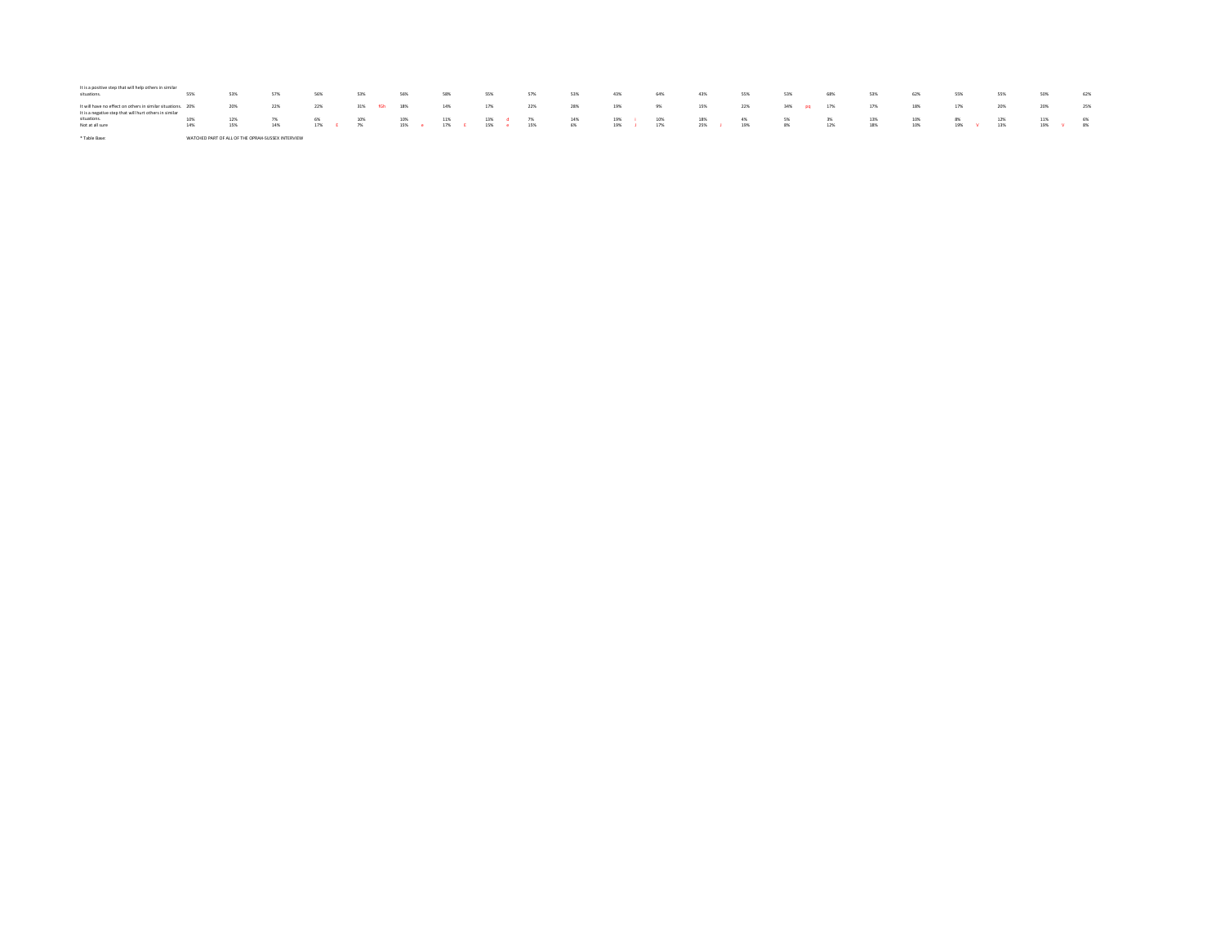| It is a positive step that will help others in similar<br>situations.                                                 | 55% | 53% | 57%                                               | 56%      | 53%         | 56% | 58%                   | 55% |           | 57% | 53% | 43%       | 64% | 43%       | 55% | 53%        | 68% | 53% | 62% | 55%       | 55% | 50% |          | 62% |
|-----------------------------------------------------------------------------------------------------------------------|-----|-----|---------------------------------------------------|----------|-------------|-----|-----------------------|-----|-----------|-----|-----|-----------|-----|-----------|-----|------------|-----|-----|-----|-----------|-----|-----|----------|-----|
| It will have no effect on others in similar situations. 20%<br>It is a negative step that will hurt others in similar |     | 20% | 22%                                               | 22%      | 31% fGh 18% |     | 14%                   | 17% |           | 22% | 28% | 19%       | 9%  | 15%       | 22% | 34% pq 17% |     | 17% | 18% | 17%       | 20% | 20% |          | 25% |
| situations.                                                                                                           | 10% | 12% | 7%                                                | 6%       | 10%         | 10% | 11%                   | 13% | $d = 7\%$ |     | 14% | 19%       | 10% | 18%       | 4%  | 5%         | 3%  | 13% | 10% | 8%        | 12% | 11% |          | 6%  |
| Not at all sure                                                                                                       | 14% | 15% | 14%                                               | 17% E 7% |             |     | 15% e 17% E 15% e 15% |     |           |     | 6%  | 19% J 17% |     | 25% J 19% |     | 8%         | 12% | 18% | 10% | 19% V 13% |     |     | 19% V 8% |     |
| * Table Base:                                                                                                         |     |     | WATCHED PART OF ALL OF THE OPRAH-SUSSEX INTERVIEW |          |             |     |                       |     |           |     |     |           |     |           |     |            |     |     |     |           |     |     |          |     |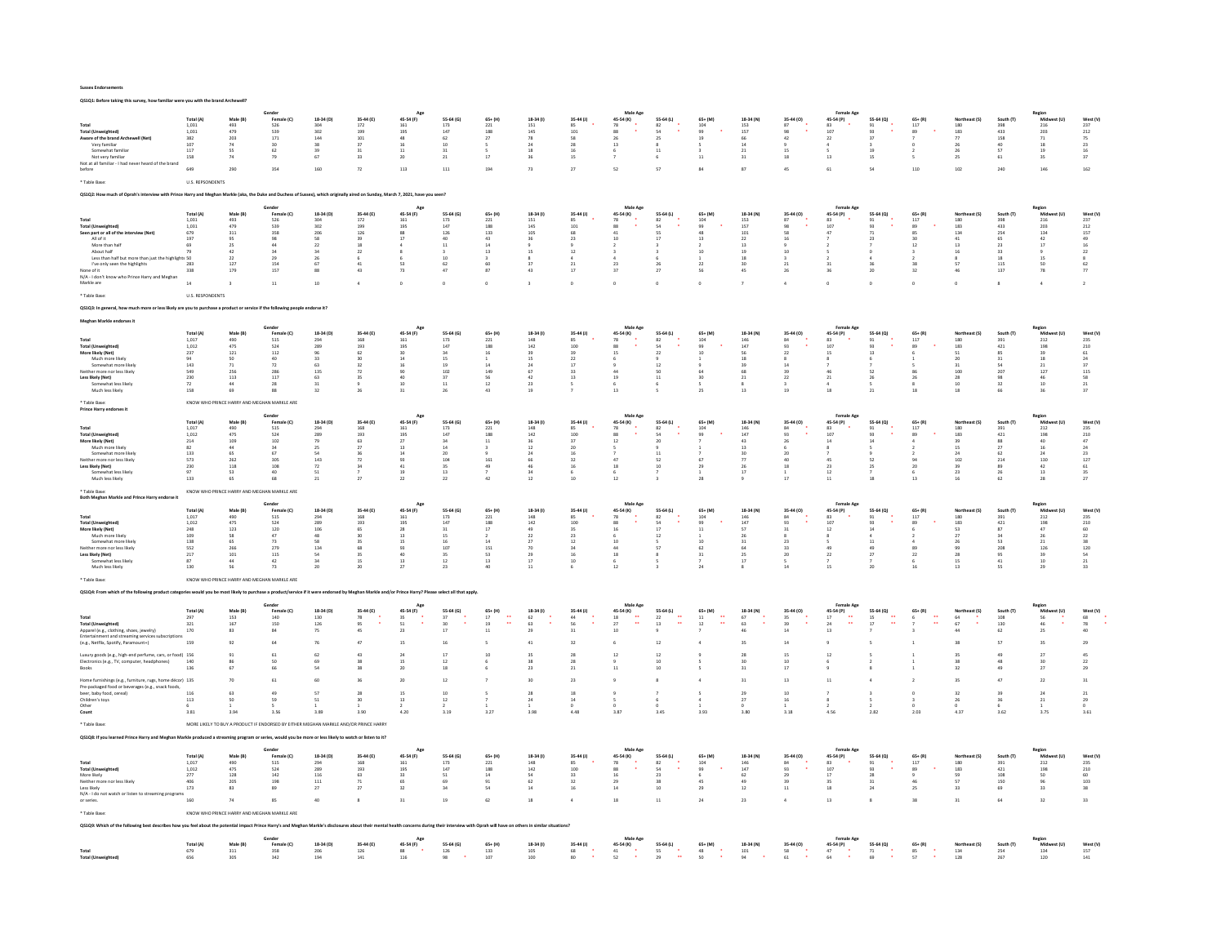QS1Q1: Before taking this survey, how familiar were you with the brand Archewell?

|                                                                                                                                                                          |                                                                                |                                             | Gender                                                                                                                                                                                               |                                                  |                                                 | Age                                     |                                              |                                           |                                         |                                                                      | Male Age                                             |                                         |                                     |                      |                      | <b>Female Age</b>                              |                           |                           |                     |                   | Region                                  |                               |
|--------------------------------------------------------------------------------------------------------------------------------------------------------------------------|--------------------------------------------------------------------------------|---------------------------------------------|------------------------------------------------------------------------------------------------------------------------------------------------------------------------------------------------------|--------------------------------------------------|-------------------------------------------------|-----------------------------------------|----------------------------------------------|-------------------------------------------|-----------------------------------------|----------------------------------------------------------------------|------------------------------------------------------|-----------------------------------------|-------------------------------------|----------------------|----------------------|------------------------------------------------|---------------------------|---------------------------|---------------------|-------------------|-----------------------------------------|-------------------------------|
| Total                                                                                                                                                                    | Total (A)<br>1.031                                                             | Male (B)<br>493                             | Female (C)                                                                                                                                                                                           | 18-34 (D)                                        | 35-44 (E)<br>172                                | 45-54 (F)                               | 55-64 (G)<br>173                             | $65+ (H)$                                 | $18-34$ (i)                             | 35-44 (J)                                                            | 45-54 (K)                                            | 55-64 (L)                               | $65+$ (M)                           | 18-34 (N)<br>153     | 35-44 (0)<br>87      | 45-54 (P)                                      | 55-64 (Q)<br>91           | $65 + (R)$<br>117         |                     | South (T)         | Mid                                     |                               |
| <b>Total (Unweighted)</b>                                                                                                                                                | 1.031                                                                          | 479                                         | 526<br>539                                                                                                                                                                                           | $\begin{array}{c} 304 \\ 302 \\ 144 \end{array}$ | $\frac{199}{101}$                               | 161<br>195<br>48                        | 147                                          | $\begin{array}{c} 221 \\ 188 \end{array}$ | $\frac{151}{145}$                       | $\begin{array}{c} 85 \\ 101 \end{array}$<br>$\overline{\phantom{0}}$ | $\begin{array}{c} 78 \\ 88 \\ 26 \end{array}$        | $\begin{array}{c} 82 \\ 54 \end{array}$ | $\frac{104}{99}$                    | 157                  |                      | $\begin{array}{r} 83 \\ 107 \\ 22 \end{array}$ | 93<br>$\frac{1}{37}$      | 89                        | 180<br>183          | 398<br>433<br>158 | $\frac{216}{203}$                       | $\frac{237}{212}$             |
| Aware of the brand Archewell (Net)<br>Very familiar                                                                                                                      | 382<br>107                                                                     | 203<br>74                                   | 171<br>$\mathbf{a}$                                                                                                                                                                                  | 38                                               | 37                                              | 16                                      | 62<br>10 <sup>10</sup>                       | 27                                        | 78<br>24                                | 28                                                                   | 13                                                   | 25                                      | 19                                  | 66<br>14             | 42                   |                                                |                           |                           | 77<br>26            | an.               | 71<br>18                                | 75<br>23                      |
| Somewhat familiar<br>Not very familiar                                                                                                                                   | 117<br>158                                                                     | 55                                          | 62                                                                                                                                                                                                   | 39<br>67                                         | 31                                              | 11<br>20                                | 31                                           |                                           | 18<br>36                                | 16                                                                   |                                                      | $11\,$                                  |                                     | 21<br>31             | 15<br>$18\,$         |                                                | 19                        |                           | 26<br>25            | 57<br>61          | 19                                      | 16<br>37                      |
| Not at all familiar - I had never heard of the brand                                                                                                                     |                                                                                |                                             | 79                                                                                                                                                                                                   |                                                  | 33                                              |                                         | 21                                           | $17\,$                                    |                                         | 15                                                                   |                                                      |                                         |                                     |                      |                      | 13                                             | 15                        |                           |                     |                   | $35\,$                                  |                               |
| before                                                                                                                                                                   | 649                                                                            | 290                                         | 354                                                                                                                                                                                                  | 160                                              | $\mathbf{72}$                                   | $_{\rm 113}$                            | $111\,$                                      | 194                                       | $73\,$                                  | $27\,$                                                               | 52                                                   | 57                                      | 84                                  | 87                   | 45                   | $61\,$                                         | 54                        | 110                       | 102                 | 240               | 146                                     | 162                           |
| * Table Base                                                                                                                                                             | <b>U.S. REPSONDENTS</b>                                                        |                                             |                                                                                                                                                                                                      |                                                  |                                                 |                                         |                                              |                                           |                                         |                                                                      |                                                      |                                         |                                     |                      |                      |                                                |                           |                           |                     |                   |                                         |                               |
| Q\$1Q2: How much of Oprah's interview with Prince Harry and Meghan Markle (aka, the Duke and Duchess of Sussex), which originally aired on Sunday, March 7, 2021, have y |                                                                                |                                             |                                                                                                                                                                                                      |                                                  |                                                 |                                         |                                              |                                           |                                         |                                                                      |                                                      |                                         |                                     |                      |                      |                                                |                           |                           |                     |                   |                                         |                               |
|                                                                                                                                                                          |                                                                                |                                             |                                                                                                                                                                                                      |                                                  |                                                 |                                         |                                              |                                           |                                         |                                                                      |                                                      |                                         |                                     |                      |                      |                                                |                           |                           |                     |                   |                                         |                               |
|                                                                                                                                                                          | Total (A)                                                                      | Male (B)                                    | Female (C)                                                                                                                                                                                           | 18-34 (D)                                        | 35-44 (E)                                       | 45-54 (F)                               | 55-64 (G)                                    | $65+ (H)$                                 | 18-34 (1)                               | $35-44$ (J)                                                          | Male Age<br>45-54 (K)                                | 55-64 (L)                               | $65+ (M)$                           | 18-34 (N)            | 35-44 (0)            | 45-54 (P)                                      | 55-64 (Q)                 | $65 + (R)$                | Northeast (S)       | South (T)         | Midw                                    | West (V)                      |
| Total                                                                                                                                                                    | 1,031                                                                          | 493                                         | 526                                                                                                                                                                                                  | 304                                              | $172\,$                                         | 161                                     | $173\,$                                      | $\bf 221$                                 | $151\,$                                 |                                                                      | 78                                                   | 82                                      | $104\,$                             | $153\,$              | 87                   | 83                                             | 91                        | $117\,$                   | 180                 | 398               | 216                                     | 237                           |
| <b>Total (Unweighted)</b><br>Seen part or all of the interview (Net)                                                                                                     | 1,031<br>679                                                                   | 479<br>311                                  | 539<br>358                                                                                                                                                                                           | 302<br>206                                       | 199<br>126                                      | 195<br>88                               | 147<br>126                                   | 188<br>133                                | 145<br>105                              | 101<br>68                                                            | 88<br>41                                             | 54<br>ss                                | 99                                  | 157<br>101           |                      | 107<br>47                                      | 93<br>$\overline{21}$     | 89                        | 183<br>124          | 433<br>254        | 203<br>134                              | 212<br>157                    |
| All of it                                                                                                                                                                | 197                                                                            | 95                                          | 98                                                                                                                                                                                                   | 58                                               | 39                                              | 17                                      | 40                                           | 43                                        | 36                                      | 23                                                                   | 10                                                   | 17                                      | 13                                  | $22\,$               |                      |                                                | 23                        | 30                        | 41                  | 65                | 42                                      | 49                            |
| More than half<br>About half                                                                                                                                             | 69<br>79                                                                       | 25<br>42                                    | 44<br>34                                                                                                                                                                                             | 22<br>34                                         | 18<br>22                                        |                                         | 11                                           | 14<br>13                                  | 15                                      | 12                                                                   |                                                      |                                         | 10                                  | 13<br>19             | 10                   |                                                |                           | 12                        | 13<br>16            | 22<br>33          | 17                                      | 16<br>$\bf{22}$               |
| Less than half but more than just the highlights 50                                                                                                                      |                                                                                | 22                                          | 29                                                                                                                                                                                                   | 26                                               |                                                 |                                         | 10                                           |                                           |                                         |                                                                      |                                                      |                                         |                                     | 18                   |                      |                                                |                           |                           |                     | 18                | 15                                      |                               |
| I've only seen the highlights                                                                                                                                            | 283<br>338                                                                     | 127<br>179                                  | 154<br>157                                                                                                                                                                                           | 67<br>88                                         | 41<br>43                                        | 53<br>73                                | 62<br>47                                     | 60<br>87                                  | 37<br>43                                | 21<br>17                                                             | 23                                                   | 26<br>27                                | 22                                  | 30<br>45             | $21\,$               | 31<br>36                                       | 36<br>$20\,$              | 38<br>32                  | 57<br>46            | 115<br>137        | 50<br>${\bf 78}$                        | 62                            |
| None of it<br>N/A - I don't know who Prince Harry and Meghan                                                                                                             |                                                                                |                                             |                                                                                                                                                                                                      |                                                  |                                                 |                                         |                                              |                                           |                                         |                                                                      |                                                      |                                         |                                     |                      |                      |                                                |                           |                           |                     |                   |                                         |                               |
| Markle are                                                                                                                                                               | $^{\rm 14}$                                                                    |                                             | $\overline{\mathbf{1}}$                                                                                                                                                                              | $10\,$                                           | $\ddot{a}$                                      |                                         | $\circ$                                      |                                           | $\overline{\mathbf{3}}$                 | $\circ$                                                              |                                                      |                                         |                                     |                      | $\Delta$             | $\circ$                                        | $\circ$                   |                           |                     | $\bf 8$           | $\,$ 4 $\,$                             |                               |
| * Table Rase                                                                                                                                                             | <b>U.S. RESPONDENTS</b>                                                        |                                             |                                                                                                                                                                                                      |                                                  |                                                 |                                         |                                              |                                           |                                         |                                                                      |                                                      |                                         |                                     |                      |                      |                                                |                           |                           |                     |                   |                                         |                               |
| OS103: In a                                                                                                                                                              | ore or less likely are you to purchase a product or service if the following p |                                             |                                                                                                                                                                                                      |                                                  |                                                 |                                         |                                              |                                           |                                         |                                                                      |                                                      |                                         |                                     |                      |                      |                                                |                           |                           |                     |                   |                                         |                               |
|                                                                                                                                                                          |                                                                                |                                             |                                                                                                                                                                                                      |                                                  |                                                 |                                         |                                              |                                           |                                         |                                                                      |                                                      |                                         |                                     |                      |                      |                                                |                           |                           |                     |                   |                                         |                               |
| Meghan Markle endorses it                                                                                                                                                |                                                                                |                                             | Gender                                                                                                                                                                                               |                                                  |                                                 | Age                                     |                                              |                                           |                                         |                                                                      | Male Age                                             |                                         |                                     |                      |                      | Female Age                                     |                           |                           |                     |                   | Region                                  |                               |
|                                                                                                                                                                          | Total (A)                                                                      | Male (B)                                    | Female (C)<br>515                                                                                                                                                                                    | 18-34 (D)                                        | 35-44 (E)                                       | 45-54 (F)                               | 55-64 (G)                                    | $65+ (H)$<br>221                          | 18-34 (1)                               | 35-44 (J)                                                            | 45-54 (K)                                            | 55-64 (L)                               | $65+$ (M)                           | 18-34 (N)            | 35-44 (0)            | 45-54 (P)                                      | 55-64 (Q)                 | $65+ (R)$<br>117          |                     |                   | -<br>Mic                                | West (V)<br>235               |
| Total<br><b>Total (Unweighted)</b>                                                                                                                                       | 1,017<br>1.012                                                                 | 490<br>475                                  | 524                                                                                                                                                                                                  | 294<br>289                                       | 168<br>193                                      | 161<br>195                              | 173<br>147                                   | 188                                       | 148<br>142                              | 85<br>100                                                            | 78<br>88                                             | 82<br>54                                | 104<br>qa                           | 146<br>147           | 84<br>93             | 83<br>107                                      | 91<br>93                  | 89                        | 180<br>183          | 391<br>421        | 212<br>198                              | 210                           |
| More likely (Net)                                                                                                                                                        | 237                                                                            | $121\,$                                     | $112\,$                                                                                                                                                                                              | 96                                               | 62                                              | 30                                      | 34                                           | $16\,$                                    | 39                                      | 39                                                                   | 15                                                   | $\bf 22$                                | 10                                  | 56                   | $\mathbf{22}$        | 15                                             | $13\,$                    |                           | ${\bf 51}$          | 85                | 39                                      | $61\,$                        |
| Much more likely<br>Somewhat more likely                                                                                                                                 | 94<br>143                                                                      | 50<br>71                                    | 40<br>72                                                                                                                                                                                             | 33<br>63                                         | 20<br>32                                        | 14<br>16                                | 15<br>19                                     | 14                                        | 15<br>24                                | $\mathcal{D}$<br>17                                                  |                                                      | 12                                      |                                     | 18<br>39             | 14                   |                                                |                           |                           | 20<br>31            | 31<br>54          | 18<br>21                                | 24<br>37                      |
| Neither more nor less likely                                                                                                                                             | 549                                                                            | 256                                         | 286                                                                                                                                                                                                  | 135                                              | $\overline{72}$                                 | 90                                      | 102                                          | 149                                       | 67                                      | 33                                                                   | $\overline{a}$                                       | 50                                      | 64                                  | 68                   | 39                   | 46                                             | 52                        |                           | $100 -$             | 207               | 127                                     | 115                           |
| Less likely (Net)<br>Somewhat less likely                                                                                                                                | 230                                                                            | 113<br>44                                   | 117                                                                                                                                                                                                  | 63                                               | 35                                              | 40                                      | 37                                           | 56                                        | 42                                      | 13                                                                   | 19                                                   | $11\,$                                  | 30                                  | 21                   | 22                   | 21                                             | 26                        | 26                        | 28<br>10            | 98<br>32          | 46                                      | 58                            |
| Much less likely                                                                                                                                                         | $\frac{72}{158}$                                                               | 69                                          | $\begin{array}{c} 28 \\ 88 \end{array}$                                                                                                                                                              | $\begin{array}{c} 31 \\ 32 \end{array}$          | 26                                              | $\begin{array}{c} 10 \\ 31 \end{array}$ | $11\,$<br>26                                 | $\begin{array}{c} 12 \\ 43 \end{array}$   | $\begin{array}{c} 23 \\ 19 \end{array}$ |                                                                      | $\overline{13}$                                      |                                         | 25                                  | $\overline{13}$      | 19                   | 18                                             | 21                        | 18                        | $\overline{18}$     |                   | $\begin{array}{c} 10 \\ 36 \end{array}$ | $\frac{21}{37}$               |
| * Table Base                                                                                                                                                             | KNOW WHO PRINCE HARRY AND MI                                                   |                                             | <b>HAN MARKLE ARE</b>                                                                                                                                                                                |                                                  |                                                 |                                         |                                              |                                           |                                         |                                                                      |                                                      |                                         |                                     |                      |                      |                                                |                           |                           |                     |                   |                                         |                               |
| Prince Harry endorses it                                                                                                                                                 |                                                                                |                                             |                                                                                                                                                                                                      |                                                  |                                                 |                                         |                                              |                                           |                                         |                                                                      |                                                      |                                         |                                     |                      |                      |                                                |                           |                           |                     |                   |                                         |                               |
|                                                                                                                                                                          | Total (A)                                                                      | Male (R)                                    | Gende<br>Female (C)                                                                                                                                                                                  | 18-34 (D)                                        | 35-44 (E)                                       | Age                                     | 55.64 (6)                                    | $65 + (H)$                                | 18-34 (f)                               | 35-44 (J)                                                            | Male Age<br>45-54 (K)                                | 55-64 (L)                               | $65 + (M)$                          | 18-34 (N)            | 35-44 (0)            | <b>Female Age</b><br>45-54 (P)                 | 55-64 (0)                 | $65 + (R)$                | North               | South (T)         | Region<br>Mid                           | West (V)                      |
| Total                                                                                                                                                                    | 1,017                                                                          | 490                                         | 515                                                                                                                                                                                                  | 294                                              | 168                                             | 45-54 (F)<br>161                        | 173                                          | 221                                       | 148                                     | 85                                                                   | 78                                                   | 82                                      | 104                                 | 146                  | 84                   | 83                                             | 91                        | 117                       | 180                 | 391               | 212                                     | 235                           |
| <b>Total (Unweighted)</b><br>More likely (Net)                                                                                                                           | 1.012                                                                          | 475                                         | 524<br>102                                                                                                                                                                                           | 289                                              | 193                                             | 195<br>27                               | 147                                          | 188                                       | 142                                     | 100<br>37                                                            | 88<br>12                                             | 54<br>20                                | 99                                  | 147                  | q <sub>2</sub><br>26 | 107<br>14                                      | 93                        | 89                        | 183                 | 421               | 198                                     | 210<br>47                     |
| Much more likely                                                                                                                                                         | 214<br>82                                                                      | 109<br>44                                   | 34                                                                                                                                                                                                   | 79<br>25                                         | 63<br>27                                        | 13                                      | 34<br>14                                     | $11\,$                                    | 36<br>12                                | 20                                                                   |                                                      |                                         |                                     | 43<br>13             |                      |                                                | 14                        |                           | 15                  | 88<br>27          | 40<br>16                                | 24                            |
| Somewhat more likely<br>Neither more nor less likely                                                                                                                     | 133<br>573                                                                     | 65<br>262                                   | 67<br>305                                                                                                                                                                                            | 54<br>143                                        | 36<br>72                                        | $14\,$<br>93                            | $20\,$<br>104                                | 161                                       | $^{24}$<br>66                           | 32                                                                   | 47                                                   | $11$<br>52                              |                                     | 30<br>$\overline{7}$ | 20<br>40             | 45                                             | 52                        |                           | 102                 | 62<br>214         | $^{24}$<br>130                          | $\bf 23$<br>127               |
| Less likely (Net)                                                                                                                                                        | 230                                                                            | 118                                         | $108\,$                                                                                                                                                                                              | ${\bf 72}$                                       | 34                                              | 41                                      | 35                                           | 49                                        | 46                                      | 16                                                                   | 18                                                   | 10                                      | 29                                  | 26                   | $18\,$               | $23\,$                                         | $25\,$                    | 20                        |                     | 89                | $42\,$                                  | $61\,$                        |
| Somewhat less likely                                                                                                                                                     | 97                                                                             | 53                                          | 40                                                                                                                                                                                                   | 51                                               |                                                 | 19                                      | 13                                           |                                           | 24                                      |                                                                      |                                                      |                                         |                                     | 17                   |                      | 12                                             |                           |                           | 23                  | 26<br>62          | 13                                      | $35 - 125$<br>$\overline{27}$ |
| Much less likely                                                                                                                                                         | 133                                                                            | 65                                          | 68                                                                                                                                                                                                   | 21                                               | 27                                              | 22                                      | 22                                           | 42                                        | $12\,$                                  | 10                                                                   | 12                                                   |                                         | 28                                  |                      | 17                   | 11                                             | 18                        | 13                        | 16                  |                   | $^{\rm 28}$                             |                               |
| Table Base:<br>Both Meghan Markle and Prince Harry endorse                                                                                                               |                                                                                | KNOW WHO PRINCE HARRY AND MEGHAN MARKLE ARE |                                                                                                                                                                                                      |                                                  |                                                 |                                         |                                              |                                           |                                         |                                                                      |                                                      |                                         |                                     |                      |                      |                                                |                           |                           |                     |                   |                                         |                               |
|                                                                                                                                                                          |                                                                                |                                             |                                                                                                                                                                                                      |                                                  |                                                 |                                         |                                              |                                           |                                         |                                                                      |                                                      |                                         |                                     |                      |                      |                                                |                           |                           |                     |                   |                                         |                               |
|                                                                                                                                                                          |                                                                                |                                             |                                                                                                                                                                                                      |                                                  |                                                 | Age                                     |                                              |                                           |                                         |                                                                      | Male Age                                             |                                         |                                     |                      |                      |                                                |                           |                           |                     |                   | Regior                                  |                               |
|                                                                                                                                                                          | Total (A)                                                                      | Male (B)                                    | Female (C)                                                                                                                                                                                           | 18-34 (D)                                        | 35-44 (E)                                       | 45-54 (F)                               | 55-64 (G)                                    | $65 + (H)$                                | 18-34 (f)                               | $35-44$ (J)                                                          | 45-54 (K)                                            | 55-64 (L)                               | $65+ (M)$                           | 18-34 (N)            | 35-44 (0)            | 45-54 (P)                                      | 55-64 (Q)                 | $65 + (R)$                | Northeast (S)       | South (T)         | Midy                                    | West (V)                      |
| Total<br><b>Total (Unweighted)</b>                                                                                                                                       | 1,017<br>1.012                                                                 | 490<br>475                                  | 515<br>524                                                                                                                                                                                           | 294<br>289                                       | 168<br>193                                      | 161<br>195                              | $173\,$<br>147                               | 221<br>188                                | 148<br>142                              | 85<br>100                                                            | 78<br>88                                             | $^{\rm 82}$<br>54                       | $104\,$<br>QQ                       | 146<br>147           | 84<br>93             | 83<br>107                                      | 91<br>93                  | $117\,$<br>89             | 180<br>183          | 391<br>421        | $_{\rm 212}$<br>198                     | 235<br>210                    |
| More likely (Net)                                                                                                                                                        | 248                                                                            | 123                                         | $120\,$                                                                                                                                                                                              | 106                                              | 65                                              | 28                                      | 31                                           | $17\,$                                    | 49                                      | 35                                                                   | 16                                                   | 17                                      | 11                                  | 57                   | 31                   | $12\,$                                         | 14                        |                           | 53                  | $^{\rm 87}$       | $47\,$                                  | 60                            |
| Much more likely<br>Somewhat more likely                                                                                                                                 | 109<br>138                                                                     | 58<br>65                                    | 47<br>73                                                                                                                                                                                             | 48<br>58                                         | 30<br>35                                        | 13<br>15                                | 15<br>16                                     | 14                                        | 22<br>27                                | 23<br>12                                                             | 10                                                   | 12                                      | 10                                  | 26<br>31             | 23                   |                                                | 11                        |                           | 27                  | 24<br>53          | 26<br>21                                | 22<br>38                      |
| Neither more nor less likely                                                                                                                                             | 552                                                                            | 266                                         | 279                                                                                                                                                                                                  | 134                                              | 68                                              | 93                                      | 107                                          | 151                                       | 70                                      | 34                                                                   | 44                                                   | 57                                      | 62                                  | 64                   | 33                   | 49                                             | 49                        | 89                        | $^{99}$             | 208               | 126                                     | 120                           |
| Less likely (Net)<br>Somewhat less likely                                                                                                                                | $_{\rm 217}$<br>87                                                             | 101<br>44                                   | $115\,$<br>42                                                                                                                                                                                        | 54<br>34                                         | 35<br>15                                        | 40<br>13                                | 35<br>12                                     | 53<br>13                                  | 29<br>17                                | 16<br>10                                                             | 18                                                   |                                         | 31                                  | 25<br>17             | $20\,$<br>s          | $\bf{22}$                                      | $\overline{27}$           | $\bf{22}$<br>6            | 15                  | 95<br>41          | 39<br>10                                | ${\sf s} {\sf a}$<br>21       |
| Much less likely                                                                                                                                                         | 130                                                                            |                                             | 73                                                                                                                                                                                                   | 20                                               | 20                                              | $\overline{2}$                          | $23\,$                                       |                                           | $11$                                    |                                                                      |                                                      |                                         |                                     |                      | 14                   | 15                                             | 20                        |                           | 13                  | SS                | 29                                      | 33                            |
| <b>Table Base</b>                                                                                                                                                        |                                                                                |                                             |                                                                                                                                                                                                      |                                                  |                                                 |                                         |                                              |                                           |                                         |                                                                      |                                                      |                                         |                                     |                      |                      |                                                |                           |                           |                     |                   |                                         |                               |
|                                                                                                                                                                          |                                                                                |                                             | KNOW WHO PRINCE HARRY AND MEGHAN MARKLE ARE                                                                                                                                                          |                                                  |                                                 |                                         |                                              |                                           |                                         |                                                                      |                                                      |                                         |                                     |                      |                      |                                                |                           |                           |                     |                   |                                         |                               |
| QS1Q4: From which of the follo<br>wing product cates                                                                                                                     |                                                                                |                                             |                                                                                                                                                                                                      |                                                  | ice if it were endorsed by Meghan Markle and/or |                                         |                                              |                                           |                                         |                                                                      |                                                      |                                         |                                     |                      |                      |                                                |                           |                           |                     |                   |                                         |                               |
|                                                                                                                                                                          | Total (A)                                                                      | Male (B)                                    | Female (C)                                                                                                                                                                                           | 18-34 (D)                                        | 35-44 (E)                                       | Age<br>45-54 (F)                        | 55-64 (G)                                    | $65+$ (H)                                 | 18-34 (f)                               | $35-44$ (J)                                                          | Male Age                                             | 55-64 (L)                               | $65+ (M)$                           | 18-34 (N)            | 35-44 (0)            | 45-54 (P)                                      | 55-64 (Q)                 | $65 + (R)$                | Northeast (S)       | South (T)         | Midwest (U)                             | West (V)                      |
|                                                                                                                                                                          | 297                                                                            | 153                                         | 140                                                                                                                                                                                                  | 130                                              | $78\,$                                          | 35                                      | 37                                           | $17\,$<br>ă.                              | 62                                      | $44\,$                                                               | 45-54 (K)<br>18<br>$\ddot{\phantom{a}}$              | $\bf{22}$                               | $_{\rm 11}$<br>$\ddot{\phantom{0}}$ | 67                   | 35                   | $17\,$<br>à,                                   | $15\,$                    |                           |                     | 108               | 56                                      | 68                            |
| <b>Total (Unweighted)</b>                                                                                                                                                | 321<br>170                                                                     | 167<br>83                                   | 150<br>84                                                                                                                                                                                            | 126<br>75                                        | 95<br>45                                        | 51<br>23                                | 30<br>17                                     | 19<br>$\frac{1}{2}$                       | 63<br>29                                | 56<br>31                                                             | 27<br>10                                             | 13                                      | 12                                  | 63                   | 39                   | 24<br>$13\,$                                   | 17                        |                           | 67                  | 130<br>62         | 46                                      | 78<br>40                      |
| Apparel (e.g., clothing, shoes, jewelry)<br>Entertainment and streaming services subscriptic                                                                             |                                                                                |                                             |                                                                                                                                                                                                      |                                                  |                                                 |                                         |                                              |                                           |                                         |                                                                      |                                                      |                                         |                                     |                      |                      |                                                |                           |                           |                     |                   | $25\,$                                  |                               |
| (e.g., Netflix, Spotify, Paramount+)                                                                                                                                     | 159                                                                            |                                             |                                                                                                                                                                                                      | 76                                               | 47                                              | 15                                      | 16                                           |                                           | 41                                      | 32                                                                   |                                                      | 12                                      |                                     | 35                   | 14                   |                                                |                           |                           |                     | 57                | $35\,$                                  | 29                            |
| Luxury goods (e.g., high-end perfume, cars, or food) 156                                                                                                                 |                                                                                |                                             |                                                                                                                                                                                                      | ĥЭ.                                              | 43                                              | $\overline{2}$                          |                                              |                                           |                                         |                                                                      |                                                      |                                         |                                     |                      |                      | 12                                             |                           |                           |                     |                   | 27                                      | 45                            |
| Electronics (e.g., TV, computer, headphones)                                                                                                                             | 140<br>136                                                                     |                                             | 50                                                                                                                                                                                                   | 69                                               | 28<br>38                                        | 15<br>20                                | 12<br>18                                     |                                           | $\mathbf{a}$<br>23                      | 28<br>21                                                             |                                                      | 10<br>10                                |                                     | $\infty$<br>31       | 10<br>17             |                                                |                           |                           |                     | 48                | 30<br>27                                | $_{22}$<br>29                 |
|                                                                                                                                                                          |                                                                                |                                             |                                                                                                                                                                                                      |                                                  |                                                 |                                         |                                              |                                           |                                         |                                                                      |                                                      |                                         |                                     |                      |                      |                                                |                           |                           |                     |                   |                                         |                               |
| Home furnishings (e.g., furniture, rugs, home décor) 135                                                                                                                 |                                                                                |                                             | 61                                                                                                                                                                                                   |                                                  | 36                                              | 20                                      | 12                                           |                                           | 30                                      | $23\,$                                                               |                                                      | $\boldsymbol{\mathsf{s}}$               |                                     | 31                   | 13                   | $11\,$                                         |                           |                           |                     | 47                | $_{22}$                                 | $\overline{31}$               |
| Pre-packaged food or beverages (e.g., snack foods,<br>beer, baby food, cereal)                                                                                           | 116                                                                            | 63                                          | co                                                                                                                                                                                                   | 57                                               | 28                                              | 15                                      | $10$                                         |                                           | 28                                      | $18\,$                                                               |                                                      |                                         |                                     | $^{29}$              | $10$<br>16           |                                                |                           | $\mathfrak{c}$            | 32                  | 39                | $\bf 24$                                | $_{\rm 21}$                   |
| Children's toys<br>Other                                                                                                                                                 | 113                                                                            | 50                                          |                                                                                                                                                                                                      | 51                                               | 20                                              | 13                                      | 12                                           |                                           | 24                                      | 14                                                                   |                                                      |                                         |                                     | 27                   |                      |                                                |                           |                           | 26                  |                   | $\ensuremath{\mathsf{21}}$              | $\frac{29}{9}$                |
| Count                                                                                                                                                                    | 3.81                                                                           | 3.94                                        | 3.56                                                                                                                                                                                                 | 3.89                                             | 3.90                                            | 4.20                                    | 3.19                                         | 3.27                                      | 3.98                                    | 4.48                                                                 | 3.87                                                 | 3.45                                    | 3.93                                | 3.80                 | 3.18                 | 4.56                                           | 2.82                      | 2.03                      | 4.37                | 3.62              | 3.75                                    | 3.61                          |
| * Table Base                                                                                                                                                             |                                                                                |                                             | MORE LIKELY TO BUY A PRODUCT IF ENDORSED BY EITHER MEGHAN MARKLE AND/OR PRINCE HARRY                                                                                                                 |                                                  |                                                 |                                         |                                              |                                           |                                         |                                                                      |                                                      |                                         |                                     |                      |                      |                                                |                           |                           |                     |                   |                                         |                               |
| OS108: If you learned Prince Harry and Meghan Markle produced a streaming program or series, would you be more or less likely to watch or listen to it?                  |                                                                                |                                             |                                                                                                                                                                                                      |                                                  |                                                 |                                         |                                              |                                           |                                         |                                                                      |                                                      |                                         |                                     |                      |                      |                                                |                           |                           |                     |                   |                                         |                               |
|                                                                                                                                                                          |                                                                                |                                             |                                                                                                                                                                                                      |                                                  |                                                 |                                         |                                              |                                           |                                         |                                                                      |                                                      |                                         |                                     |                      |                      |                                                |                           |                           |                     |                   |                                         |                               |
|                                                                                                                                                                          |                                                                                | Male (B)                                    | Gende<br>Female (C)                                                                                                                                                                                  | 18-34 (D)                                        | 35-44 (E)                                       | Age<br>45-54 (F)                        | 55-64 (G)                                    | $65 + (H)$                                | 18-34 (1)                               | 35-44 (J)                                                            | Male Age<br>45-54 (K)                                | 55-64 (L)                               | 65+ (M)                             | 18-34 (N)            | 35-44 (O)            | Female Age<br>45-54 (P)                        | 55-64 (Q)                 | $65 + (R)$                |                     | South (T)         | Region                                  | West (V)                      |
| Total                                                                                                                                                                    | Total (A)<br>1,017                                                             | 490                                         | 515                                                                                                                                                                                                  | 294                                              | 168                                             | 161                                     | 173                                          | 221                                       | 148                                     | 85                                                                   | 78                                                   | 82                                      | 104                                 | 146                  | 84                   | 83                                             | 91                        | 117                       | 180                 | 391               | $\frac{\text{Midw}}{212}$               | 235                           |
| <b>Total (Unweighted)</b><br>More likely                                                                                                                                 | 1,012<br>277                                                                   | 475<br>128                                  | 524<br>142                                                                                                                                                                                           | 289<br>116                                       | 193<br>63                                       | 195<br>33                               | 147<br>51                                    | 188<br>14                                 | 142<br>54                               | 100<br>33                                                            | 88<br>16                                             | 54<br>23                                | 99                                  | 147<br>62            | 93<br>29             | 107<br>17                                      | 93<br>28                  | 89<br>$\ddot{\mathbf{q}}$ | 183<br>59           | 421<br>108        | 198<br>50                               | 210<br>60                     |
| Neither more nor less likely                                                                                                                                             | 406                                                                            | 205                                         | 198                                                                                                                                                                                                  | $111\,$                                          | $\scriptstyle{71}$                              | 65                                      | 69                                           | 91                                        | 62                                      | 32                                                                   | $^{29}$                                              | 38                                      |                                     |                      |                      | 35                                             | $_{31}$                   |                           | 57                  | 150               | 96                                      | 103                           |
| Less likely<br>N/A - I do not watch or listen to streaming progra                                                                                                        | 173                                                                            | 83                                          | 89                                                                                                                                                                                                   | 27                                               | 27                                              | 32                                      | 34                                           | 54                                        | 14                                      | 16                                                                   | 14                                                   | 10                                      | 29                                  | $12\,$               | $11\,$               | 18                                             | $\bf 24$                  | 25                        | 33                  | 69                | 33                                      | 38                            |
| or series.                                                                                                                                                               | 160                                                                            | 74                                          | 85                                                                                                                                                                                                   | 40                                               | $\mathbf{s}$                                    | 31                                      | 19                                           | 62                                        | 18                                      | $\Delta$                                                             | 18                                                   | 11                                      | 24                                  | 23                   | $\ddot{a}$           | 13                                             | $\boldsymbol{\mathsf{s}}$ | 38                        | 31                  | 64                | 32                                      | 33                            |
| Table Base                                                                                                                                                               |                                                                                |                                             | KNOW WHO PRINCE HARRY AND MEGHAN MARKLE ARE                                                                                                                                                          |                                                  |                                                 |                                         |                                              |                                           |                                         |                                                                      |                                                      |                                         |                                     |                      |                      |                                                |                           |                           |                     |                   |                                         |                               |
| OS109: Which of the foll                                                                                                                                                 |                                                                                |                                             | w you feel about the potential impact Prince Harry's and Meghan Markle's disclosures about their mental health concerns during their interview with Oprah will have on others in similar situations' |                                                  |                                                 |                                         |                                              |                                           |                                         |                                                                      |                                                      |                                         |                                     |                      |                      |                                                |                           |                           |                     |                   |                                         |                               |
|                                                                                                                                                                          |                                                                                |                                             | Gende                                                                                                                                                                                                |                                                  |                                                 |                                         |                                              |                                           |                                         |                                                                      |                                                      |                                         |                                     |                      |                      |                                                |                           |                           |                     |                   |                                         |                               |
|                                                                                                                                                                          | Total (A)                                                                      | Male (B)                                    | Female (C)                                                                                                                                                                                           | 18-34 (D)                                        | 35-44 (E)                                       | Age<br>45-54 (F)                        | 55-64 (G)                                    | 65+ (H)                                   | $18-34(1)$                              | 35-44 (J)                                                            | Male Age<br>45-54 (K)                                | 55-64 (L)                               | $65 + (M)$                          | 18-34 (N)            | 35-44 (O)            | Female Age<br>45-54 (P)                        | 55-64 (Q)                 | $65 + (R)$                | Northeast (S)       | South (T)         | Region<br>Midw                          | West (V)                      |
| Total<br>Total (Um                                                                                                                                                       | 679<br>656                                                                     | 311<br>305                                  | 358<br>342                                                                                                                                                                                           | 206<br>194                                       | 126<br>$\bf{141}$                               | 88<br>116                               | $\frac{126}{98}$<br>$\overline{\phantom{a}}$ | 133<br>$107\,$                            | 105<br>100                              | $\frac{68}{80}$                                                      | $\begin{array}{c} 41 \\ 52 \end{array}$<br>$\lambda$ | SS.<br>29<br>$\ddot{\phantom{a}}$       | 48<br>50                            | 101<br>94            | 58<br>61             | 47<br>$_{64}$                                  | 71<br>69                  | 85<br>57                  | 134<br>$_{\rm 128}$ | 254<br>267        | 134<br>$120\,$                          | 157<br>$\bf{141}$             |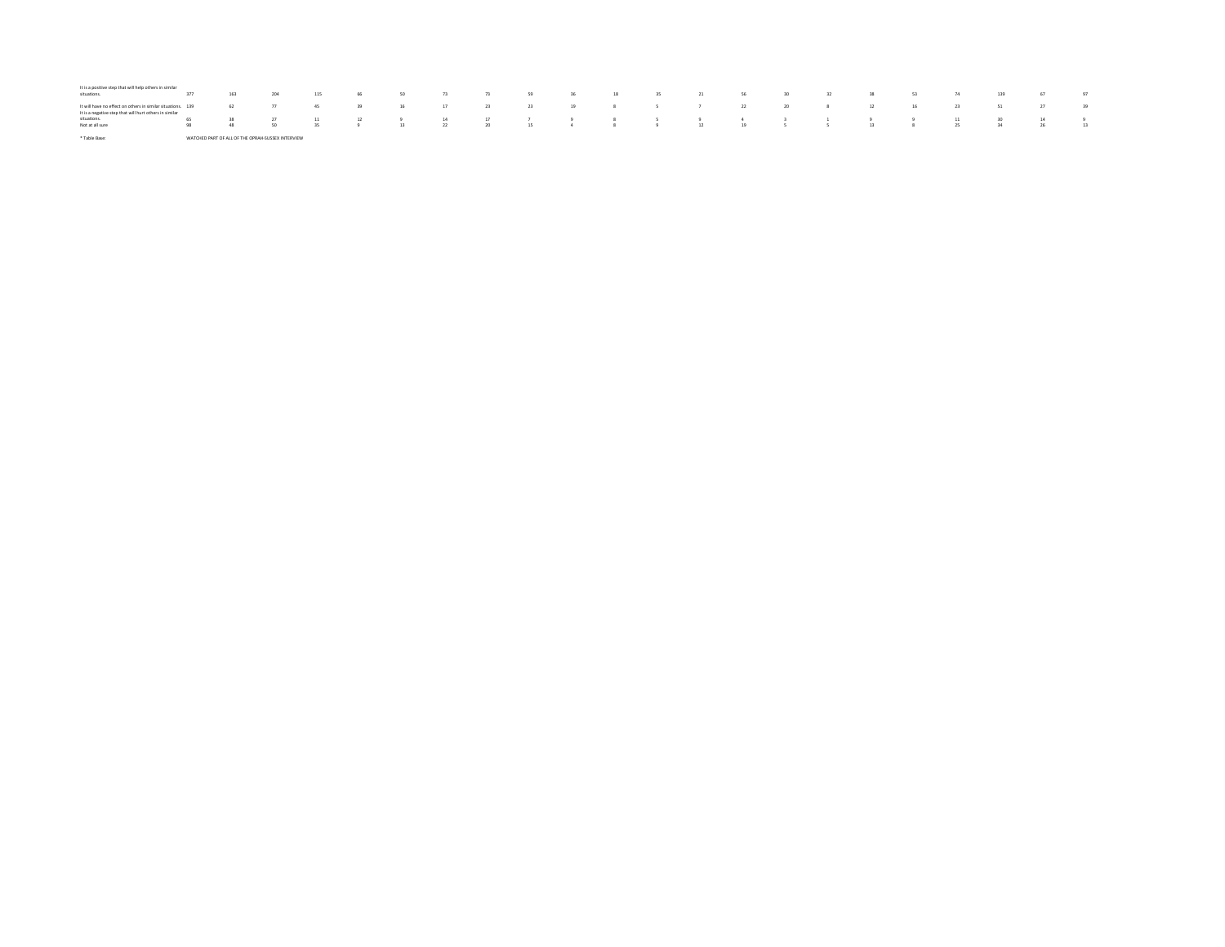| It is a positive step that will help others in similar<br>situations.                                                                                                              | 377 |  | 163 204 115 66 50 73 73 59 36 18 35 21 56 30 32 38 53 74 139 67 97                     |  |  |  |  |  |  |  |  |  |
|------------------------------------------------------------------------------------------------------------------------------------------------------------------------------------|-----|--|----------------------------------------------------------------------------------------|--|--|--|--|--|--|--|--|--|
| 1: htwill have no effect on others in similar situations. 139 62 77 45 39 16 17 23 23 19 8 5 7 22 20 8 12 16 23 51 27 39<br>It is a negative step that will hurt others in similar |     |  |                                                                                        |  |  |  |  |  |  |  |  |  |
| situations.                                                                                                                                                                        |     |  | 65 38 27 11 12 9 14 17 7 9 8 5 9 4 3 1 9 9 11 30 14 9                                  |  |  |  |  |  |  |  |  |  |
| Not at all sure                                                                                                                                                                    |     |  | -98 -48 -50 -35 -9 -13 -22 -20 -15 -4 -8 -9 -9 -12 -19 -5 -5 -5 -13 -8 -25 -34 -26 -13 |  |  |  |  |  |  |  |  |  |

\* Table Base: WATCHED PART OF ALL OF THE OPRAH-SUSSEX INTERVIEW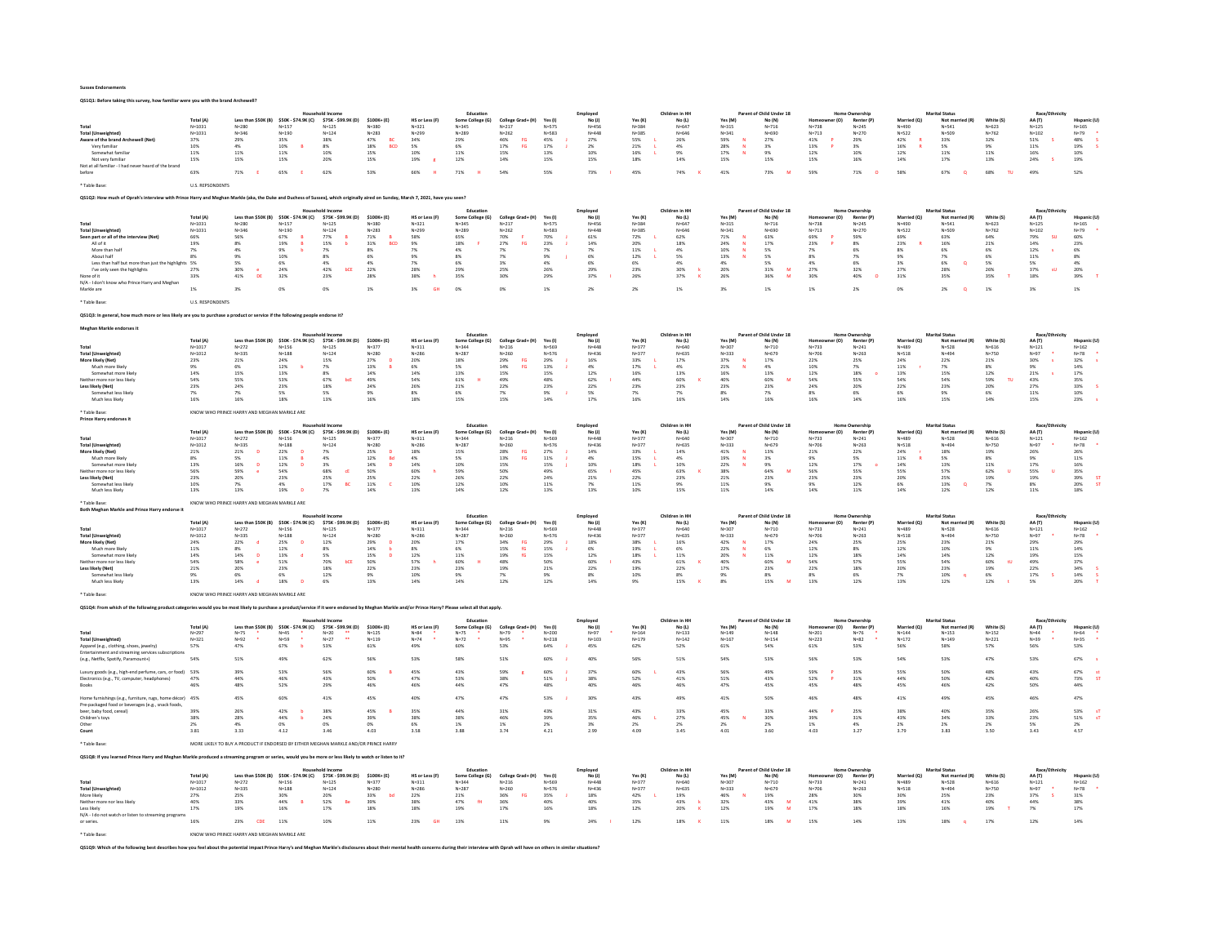#### Sussex Endorsements QS1Q1: Before taking this survey, how familiar were you with the brand Archewell?

|                                                                                                                                                                                                     |                                |                                                      |                                 |                                                                                      |                                            |                             | Educatio                      |                                |                        | Employe                      |                        | Children in HH           |                          | Parent of Child Under 18              |                               |                                    |                          | <b>Marital Statu</b>              |                           | Race/Eth                |                          |
|-----------------------------------------------------------------------------------------------------------------------------------------------------------------------------------------------------|--------------------------------|------------------------------------------------------|---------------------------------|--------------------------------------------------------------------------------------|--------------------------------------------|-----------------------------|-------------------------------|--------------------------------|------------------------|------------------------------|------------------------|--------------------------|--------------------------|---------------------------------------|-------------------------------|------------------------------------|--------------------------|-----------------------------------|---------------------------|-------------------------|--------------------------|
|                                                                                                                                                                                                     | Total (A)                      | Less than \$50K (B)                                  | \$50K - \$74.9K (C)             | \$75K - \$99.9K (D)                                                                  | $$100K + (E)$                              | HS or Less (F)              | Some College (G)              | College Grad+ (H)              | Yes(1)                 | No(1)                        | Yes (K)                | No (L)                   | Yes (M)                  | No (N)                                | r (O)                         | Renter (R                          | Married (Q)              | Not mar                           | White (S)                 | AA (T)                  |                          |
| Total<br><b>Total (Unweighted</b>                                                                                                                                                                   | $N = 1031$<br>$N = 1031$       | $N = 280$<br>$N = 346$                               | $N=157$<br>$N = 190$            | $N = 125$<br>$N = 124$                                                               | $N = 380$<br>$N = 283$                     | $N = 321$<br>$N = 299$      | $N = 345$<br>$N = 289$        | $N = 217$<br>$N = 262$         | $N = 575$<br>$N = 583$ | $N = 456$<br>$N = 448$       | $N = 384$<br>$N = 385$ | $N = 647$<br>N=646       | $N = 315$<br>$N = 341$   | $N = 716$<br>$N = 690$                | $N = 738$<br>$N = 713$        | $N = 245$<br>$N = 270$             | $N = 490$<br>$N = 522$   | $N = 541$<br>N=509                | $N = 623$<br>$N = 762$    | $N = 125$<br>$N = 102$  | $N = 165$<br>$N = 79$    |
| Aware of the brand Archewell (Net                                                                                                                                                                   | $37\%$                         | 29%                                                  | $35\%$                          | 38%                                                                                  | $47\%$<br>BC                               | 34%                         | 29%                           | $46\%$<br>$_{\rm FG}$          | $45\%$                 | 27%                          | 55%                    | 26%                      | $59\%$                   | 27%                                   | $41\%$                        | 29%                                | $42\%$                   | $33\%$                            | $32\%$                    | $51\%$                  | $48\%$                   |
| Very familiar                                                                                                                                                                                       | 10%<br>11%                     | 4%                                                   | 10%<br>11%                      | 8%                                                                                   | BCD<br>18%                                 | 5%                          | 6%                            | <b>FG</b><br>17%<br>15%        | 17%                    | 2%                           | 21%                    | 4%                       | 28%<br>N<br>$\mathbf{M}$ | 3%                                    | 13%                           | 3%                                 | 16%                      | 5%                                | 9%                        | 11%                     | 19%<br>10%               |
| Somewhat familiar<br>Not very familia                                                                                                                                                               | 15%                            | 11%<br>15%                                           | 15%                             | 10%<br>20%                                                                           | 15%<br>15%                                 | 10%<br>$19\%$               | 11%<br>$12\%$                 | 14%                            | 13%<br>15%             | 10%<br>15%                   | 16%<br>18%             | 9%<br>14%                | 17%<br>15%               | 9%<br>15%                             | 12%<br>$15\%$                 | 10%<br>16%                         | 12%<br>$14\%$            | 11%<br>$17\%$                     | 11%<br>$13\%$             | 16%<br>$24\%$           | 19%                      |
| Not at all familiar - I had never heard of the brand                                                                                                                                                |                                |                                                      |                                 |                                                                                      |                                            |                             |                               |                                |                        |                              |                        |                          |                          |                                       |                               |                                    |                          |                                   |                           |                         |                          |
| hefore                                                                                                                                                                                              | 63%                            | 71%                                                  | 65%                             | 62%                                                                                  | 53%                                        | 66%                         | 71%                           | 54%                            | 55%                    | 73%                          | 45%                    | 74%                      | 41%                      | 73%                                   | 59%                           | 71%                                | 58%                      | 67%                               | 68%                       | 49%                     | 52%                      |
|                                                                                                                                                                                                     | <b>U.S. REPSONDENTS</b>        |                                                      |                                 |                                                                                      |                                            |                             |                               |                                |                        |                              |                        |                          |                          |                                       |                               |                                    |                          |                                   |                           |                         |                          |
|                                                                                                                                                                                                     |                                |                                                      |                                 |                                                                                      |                                            |                             |                               |                                |                        |                              |                        |                          |                          |                                       |                               |                                    |                          |                                   |                           |                         |                          |
| Q\$1Q2: How much of Oprah's interview with Prince Harry and Meghan Markle (aka, the Duke and Duchess of Sussex), which originally aired on Sunday, March 7, 2021, have you seen?                    |                                |                                                      |                                 |                                                                                      |                                            |                             |                               |                                |                        |                              |                        |                          |                          |                                       |                               |                                    |                          |                                   |                           |                         |                          |
|                                                                                                                                                                                                     |                                |                                                      |                                 | lousehold Income                                                                     |                                            |                             | Education                     |                                |                        | Employed                     |                        | Children in HH           |                          | Parent of Child Under 18              |                               | <b>Home Ownership</b>              |                          | <b>Marital Status</b>             |                           | Race/Ethnicit           |                          |
|                                                                                                                                                                                                     | <b>Total (A)</b><br>$N = 1031$ | Less than \$50K (B) \$50K - \$74.9K (C)<br>$N = 280$ | $N = 157$                       | \$75K - \$99.9K (D)<br>$N = 125$                                                     | \$100K+(E)<br>$N = 380$                    | HS or Less (F)<br>$N = 321$ | Some College (G)<br>$N = 345$ | College Grad+ (H)<br>$N = 217$ | Yes (I)<br>$N = 575$   | $No$ $(l)$<br>$N = 456$      | Yes (K)<br>$N = 384$   | No (L)<br>$N = 64$       | Yes (M)<br>$N = 315$     | No (N)<br>$N = 716$                   | er (O)<br>Homeon<br>$N = 738$ | Renter (P)<br>$N = 245$            | Married (Q)<br>$N = 490$ | Not married (R)<br>$N = 541$      | White (S)<br>$N = 623$    | AA (T)<br>$N=125$       | Hispanic (I<br>$N = 165$ |
| <b>Total (Unweighted</b>                                                                                                                                                                            | $N = 1031$                     | $N = 346$                                            | $N = 190$                       | $N = 124$                                                                            | $N = 283$                                  | $N = 299$                   | $N = 289$                     | $N = 262$                      | $N = 583$              | $N = 448$                    | $N = 385$              | $N = 646$                | $N = 341$                | N=690                                 | $N = 713$                     | $N = 270$                          | $N = 522$                | $N = 509$                         | $N = 762$                 | $N = 102$               | $N = 79$                 |
| Seen part or all of the interview (Net                                                                                                                                                              | 66%                            | 56%                                                  | 67%                             | 77%                                                                                  | 71%                                        | 58%                         | 65%                           | 70%                            | 70%                    | 61%                          | 72%                    | 62%                      | 71%                      | 63%                                   | 69%                           | 59%                                | 69%                      | 63%                               | 64%                       | <b>SU</b><br>79%        | 60%                      |
| All of it<br>More than ha                                                                                                                                                                           | 19%<br>7%                      | 8%<br>4%                                             | $19\%$<br>9%                    | 15%<br>7%                                                                            | $31\%$<br>BCD<br>8%                        | $9\%$<br>7%                 | $18\%$<br>4%                  | 27%<br>FG<br>7%                | $23\%$<br>7%           | 14%<br>7%                    | 20%<br>11%             | 18%<br>4%                | $24\%$<br>10%            | $17\%$<br>5%                          | $23\%$<br>7%                  | $8\%$<br>6%                        | 23%<br>8%                | $16\%$<br>6%                      | $21\%$<br>6%              | 14%<br>12%              | 23%<br>6%                |
| About half                                                                                                                                                                                          | 8%                             | 9%                                                   | 10%                             | 8%                                                                                   | 6%                                         | 9%                          | 8%                            | 7%                             | 9%                     | 6%                           | 12%                    | 5%                       | 13%                      | 5%                                    | 8%                            | 7%                                 | $Q\%$                    | 7%                                | 6%                        | 11%                     | 8%                       |
| Less than half but more than just the highlights 5%                                                                                                                                                 |                                | 5%                                                   | 6%                              | 4%                                                                                   | 4%                                         | 7%                          | 6%                            | 3%                             | 4%                     | 6%                           | 6%                     | 4%                       | 4%                       | 5%                                    | 4%                            | 6%                                 | 3%                       | 6%<br>$\circ$                     | 5%                        | 5%                      | 4%                       |
| I've only seen the highlights<br>None of it                                                                                                                                                         | 27%<br>33%                     | 30%<br>41%<br><b>DF</b>                              | 24%<br>32%                      | 42%<br>bCE<br>23%                                                                    | 22%<br>28%                                 | 28%<br>38%                  | 29%<br>35%                    | 25%<br>30%                     | 26%<br>29%             | 29%<br>37%                   | 23%<br>26%             | 30%<br>37%               | 20%<br>26%               | 31%<br>M<br>36%<br>M                  | 27%<br>30%                    | 32%<br>40%                         | 27%<br>31%               | 28%<br>35%                        | 26%<br>35%                | 37%<br>3U<br>18%        | 20%<br>39%               |
| N/A - I don't know who Prince Harry and Meghar                                                                                                                                                      |                                |                                                      |                                 |                                                                                      |                                            |                             |                               |                                |                        |                              |                        |                          |                          |                                       |                               |                                    |                          |                                   |                           |                         |                          |
| Markle are                                                                                                                                                                                          | 1%                             | 3%                                                   | O%                              | O%                                                                                   | 1%                                         | 3%                          | 0%                            | 0%                             | 1%                     | 2%                           | 2%                     | 1%                       | 3%                       | 1%                                    | 1%                            | 2%                                 | 0%                       | 2%<br>$\circ$                     | 1%                        | 3%                      | 1%                       |
| Table Base                                                                                                                                                                                          | <b>U.S. RESPONDENTS</b>        |                                                      |                                 |                                                                                      |                                            |                             |                               |                                |                        |                              |                        |                          |                          |                                       |                               |                                    |                          |                                   |                           |                         |                          |
|                                                                                                                                                                                                     |                                |                                                      |                                 |                                                                                      |                                            |                             |                               |                                |                        |                              |                        |                          |                          |                                       |                               |                                    |                          |                                   |                           |                         |                          |
| 251Q3: In general, how much more or less likely are you to purchase a product or service if the following people endorse it?                                                                        |                                |                                                      |                                 |                                                                                      |                                            |                             |                               |                                |                        |                              |                        |                          |                          |                                       |                               |                                    |                          |                                   |                           |                         |                          |
| Meghan Markle endorses it                                                                                                                                                                           |                                |                                                      |                                 |                                                                                      |                                            |                             |                               |                                |                        |                              |                        |                          |                          |                                       |                               |                                    |                          |                                   |                           |                         |                          |
|                                                                                                                                                                                                     | Total (A)                      | Less than \$50K (B) \$50K - \$74.9K (C)              |                                 | \$75K - \$99.9K (D)                                                                  | \$100K+(E)                                 | <b>HS or Less (F)</b>       | Some College (G)              | College Grad+ (H)              | Yes (I)                | <i>mployer</i><br>$No$ $(1)$ | Yes (K)                | Children in HH<br>No (L) | Yes (M)                  | Parent of Child Under 18<br>No (N)    | r (O)                         | <b>Renter (F</b>                   | Married (O)              | Not married (R                    | White (S)                 | Race/E<br><b>44 (T)</b> | <b>Hispanic (L</b>       |
| Total                                                                                                                                                                                               | $N = 1017$                     | $N = 272$                                            | $N = 156$                       | $N = 125$                                                                            | $N = 377$                                  | $N = 311$                   | $N = 344$                     | $N = 216$                      | N=569                  | $N = 448$                    | $N = 377$              | $N = 640$                | $N = 307$                | $N = 710$                             | $N = 733$                     | $N = 241$                          | $N = 489$                | $N = 528$                         | $N = 616$                 | $N = 121$               | $N = 162$                |
| <b>Total (Unweighted)</b>                                                                                                                                                                           | $N = 1012$                     | $N = 335$                                            | $N = 188$                       | $N = 124$                                                                            | $N = 280$                                  | $N = 286$                   | $N = 287$                     | $N = 260$                      | $N = 576$              | $N = 436$                    | $N = 377$              | $N = 635$                | $N = 333$                | $N = 679$                             | $N = 706$                     | $N = 263$                          | $N = 518$                | $N = 494$                         | $N = 750$                 | $N = 97$                | $N=78$                   |
| More likely (Net)<br>Much more likely                                                                                                                                                               | 23%<br>9%                      | 21%<br>6%                                            | $24\%$<br>12%                   | $15\%$<br>7%                                                                         | $27\%$<br>13%                              | $20\%$<br>6%                | 18%<br>5%                     | 29%<br>FG<br>14%<br><b>FG</b>  | $29\%$<br>13%          | $16\%$<br>4%                 | 33%<br>17%             | $17\%$<br>4%             | $37\%$<br>21%            | $17\%$<br>4%                          | 22%<br>10%                    | 25%<br>7%                          | 24%<br>11%               | 22%<br>7%                         | 21%<br>8%                 | 30%<br>9%               | $32\%$<br>14%            |
| Somewhat more likely                                                                                                                                                                                | 14%                            | 15%                                                  | 13%                             | 8%                                                                                   | 14%                                        | $14\%$                      | 13%                           | 15%                            | 15%                    | 12%                          | 16%                    | 13%                      | 16%                      | 13%                                   | 12%                           | 18%                                | 13%                      | 15%                               | 12%                       | 21%                     | $17\%$                   |
| either more nor less likely                                                                                                                                                                         | 54%                            | 55%                                                  | 53%                             | 67%<br>bcE                                                                           | 49%                                        | 54%                         | $61\%$                        | 49%                            | 48%                    | 62%                          | 44%                    | 60%                      | 40%                      | 60%                                   | 54%                           | 55%                                | 54%                      | 54%                               | 59%<br>$\mathbf{u}$       | $43\%$                  | 35%                      |
| Less likely (Net)<br>Somewhat less likely                                                                                                                                                           | 23%<br>7%                      | 24%<br>7%                                            | 23%<br>5%                       | 18%<br>5%                                                                            | 24%<br>9%                                  | 26%<br>8%                   | 21%<br>6%                     | 22%<br>7%                      | 23%<br>9%              | 22%<br>5%                    | 23%<br>7%              | 23%<br>7%                | 23%<br>8%                | 23%<br>7%                             | 24%<br>8%                     | 20%<br>6%                          | 22%<br>6%                | 23%<br>9%                         | 20%<br>6%                 | 27%<br>11%              | $33\%$<br>10%            |
| Much less likely                                                                                                                                                                                    | 16%                            | 16%                                                  | 18%                             | 13%                                                                                  | 16%                                        | 18%                         | 15%                           | 15%                            | $14\%$                 | 17%                          | 16%                    | 16%                      | 14%                      | 16%                                   | 16%                           | 14%                                | 16%                      | 15%                               | 14%                       | $15\%$                  | 23%                      |
|                                                                                                                                                                                                     |                                |                                                      |                                 |                                                                                      |                                            |                             |                               |                                |                        |                              |                        |                          |                          |                                       |                               |                                    |                          |                                   |                           |                         |                          |
| * Table Base:<br>Prince Harry endorses it                                                                                                                                                           |                                | KNOW WHO PRINCE HARRY AND MEGHAN MARKLE ARE          |                                 |                                                                                      |                                            |                             |                               |                                |                        |                              |                        |                          |                          |                                       |                               |                                    |                          |                                   |                           |                         |                          |
|                                                                                                                                                                                                     |                                |                                                      |                                 |                                                                                      |                                            |                             | Educatio                      |                                |                        | <i>Employer</i>              |                        | Children in HI           |                          | Parent of Child Under 18              |                               |                                    |                          | Marital Status                    |                           | Race/Eth                |                          |
| Total                                                                                                                                                                                               | <b>Total (A)</b><br>$N = 1017$ | Less than \$50K (B) \$50K - \$74.9K (C)<br>$N = 272$ | $N=156$                         | \$75K - \$99.9K (D)                                                                  | $$100K + (E)$<br>$N = 377$                 | HS or Less (F)              | Some College (G)<br>$N = 344$ | College Grad+ (H)<br>$N = 216$ | Yes (I)                | No(1)<br>$N = 448$           | Yes (K)<br>$N = 377$   | No (L)<br>N=640          | Yes (M)<br>$N = 307$     | No (N)<br>$N = 710$                   | r (O)<br>$N = 733$            | Renter (P)<br>$N = 241$            | Married (Q)<br>$N = 489$ | Not married (R)<br>$N = 528$      | White (S)<br>$N = 616$    | AA (T)<br>$N = 121$     | Hispanic (U<br>$N = 162$ |
| <b>Total (Unweighted)</b>                                                                                                                                                                           | $N = 1012$                     | $N = 335$                                            | $N = 188$                       | $N = 125$<br>$N = 124$                                                               | $N = 280$                                  | $N = 311$<br>$N = 286$      | $N = 287$                     | $N = 260$                      | $N = 569$<br>$N = 576$ | $N = 436$                    | $N = 377$              | $N = 635$                | $N = 333$                | $N = 679$                             | $N = 706$                     | $N = 263$                          | $N = 518$                | N=494                             | $N = 750$                 | $N = 97$                | $N = 78$                 |
| More likely (Net)                                                                                                                                                                                   | 21%                            | 21%<br>$\mathbf{D}$                                  | $22\%$                          | $7\%$                                                                                | 25%<br>$\sqrt{2}$                          | 18%                         | 15%                           | 28%<br>$_{\rm FG}$             | 27%                    | 14%                          | 33%                    | 14%                      | 41%                      | 13%                                   | 21%                           | 22%                                | 24%                      | 18%                               | 19%                       | 26%                     | 26%                      |
| Much more likely<br>Somewhat more likely                                                                                                                                                            | 8%<br>13%                      | 5%<br>$16\%$<br>þ                                    | 11%<br>$12\%$<br>$\mathbf{D}$   | 4%<br>$3\%$                                                                          | 12%<br><b>Bd</b><br>$14\%$<br>$\mathbf{D}$ | 4%<br>$14\%$                | 5%<br>10%                     | <b>FG</b><br>13%<br>15%        | 11%<br>15%             | 4%<br>10%                    | 15%<br>18%             | 4%<br>10%                | 19%<br>N<br>$22\%$       | 3%<br>9%                              | 9%<br>$12\%$                  | 5%<br>$17\%$                       | 11%<br>$14\%$            | 5%<br>$13\%$                      | 8%<br>11%                 | 9%<br>$17\%$            | 11%<br>16%               |
| Veither more nor less likely                                                                                                                                                                        | 56%                            | 59%                                                  | 54%                             | 68%<br>cE                                                                            | 50%                                        | 60%                         | 59%                           | 50%                            | 49%                    | 65%                          | 45%                    | 63%                      | 38%                      | 64%<br>M                              | 56%                           | 55%                                | 55%                      | 57%                               | 62%                       | 55%<br>$\mathbf{I}$     | $35\%$                   |
| Less likely (Net)                                                                                                                                                                                   | 23%                            | 20%                                                  | 23%                             | 25%                                                                                  | 25%                                        | 22%                         | 26%                           | 22%                            | 24%                    | 21%                          | 22%                    | 23%                      | 21%                      | 23%                                   | 23%                           | 23%                                | 20%                      | 25%                               | 19%                       | 19%                     | 39%                      |
| Somewhat less likely<br>Much less likely                                                                                                                                                            | 10%<br>13%                     | 7%<br>13%                                            | 4%<br>19%                       | 17%<br><b>BC</b><br>7%                                                               | 11%<br>14%                                 | 10%<br>13%                  | 12%<br>14%                    | 10%<br>12%                     | 11%<br>13%             | 7%<br>13%                    | 11%<br>10%             | 9%<br>15%                | 11%<br>11%               | 9%<br>14%                             | 9%<br>14%                     | 12%<br>11%                         | 6%<br>14%                | 13%<br>$\circ$<br>$12\%$          | 7%<br>12%                 | 8%<br>$11\%$            | 20%<br><b>ST</b><br>18%  |
|                                                                                                                                                                                                     |                                |                                                      |                                 |                                                                                      |                                            |                             |                               |                                |                        |                              |                        |                          |                          |                                       |                               |                                    |                          |                                   |                           |                         |                          |
| Table Base:                                                                                                                                                                                         |                                | KNOW WHO PRINCE HARRY AND MEGHAN MARKLE ARE          |                                 |                                                                                      |                                            |                             |                               |                                |                        |                              |                        |                          |                          |                                       |                               |                                    |                          |                                   |                           |                         |                          |
| Both Meghan Markle and Prince Harry endorse i                                                                                                                                                       |                                |                                                      |                                 |                                                                                      |                                            |                             | Education                     |                                |                        | Employed                     |                        | Children in HH           |                          | of Child Under 18                     | 112222                        | Ownershir                          |                          | <b>Marital Status</b>             |                           | Race/Ethnici            |                          |
|                                                                                                                                                                                                     | <b>Total (A)</b>               |                                                      |                                 | Less than \$50K (B) \$50K - \$74.9K (C) \$75K - \$99.9K (D)                          | \$100K+(E)                                 | HS or Less (F)              | Some College (G)              | College Grad+ (H)              | Yes (I)                | No(1)                        | Yes (K)                | No (L)                   | Yes (M)                  | No (N)                                | er (O)<br>Homec               | Renter (P)                         |                          |                                   | White (S)                 | AA (T)                  | Hispanic (U              |
| Total<br><b>Total (Unweighted)</b>                                                                                                                                                                  | $N = 1017$                     |                                                      |                                 |                                                                                      |                                            |                             | $N = 344$                     |                                | N=569                  |                              |                        |                          | $N = 307$                | $N = 710$                             |                               |                                    | Married (Q)              | Not married (R)                   | $N = 616$                 | $N = 121$               | $N = 162$<br>$N=78$      |
|                                                                                                                                                                                                     |                                | $N = 272$                                            | $N=156$                         | $N=125$                                                                              | $N = 377$                                  | $N = 311$                   |                               | $N = 216$                      |                        | $N = 448$                    | $N = 377$              | N=640                    |                          |                                       | $N = 733$                     | $N = 241$                          | $N = 489$                | $N = 528$                         |                           |                         |                          |
| More likely (Net)                                                                                                                                                                                   | $N = 1012$<br>24%              | $N = 335$<br>22%                                     | $N = 188$<br>$\mathbf{D}$       | $N = 124$<br>12%                                                                     | $N = 280$                                  | $N = 286$<br>20%            | $N = 287$<br>17%              | $N = 260$<br>34%<br>EG         | $N = 576$<br>29%       | $N = 436$<br>18%             | $N = 377$<br>3.8%      | $N = 635$<br>16%         | $N = 333$<br>42%         | $N = 679$<br>17%                      | $N = 706$<br>24%              | $N = 263$                          | $N = 518$<br>25%         | $N = 494$<br>23%                  | $N = 750$<br>21%          | $N = 97$<br>29%         | 29%                      |
| Much more likely                                                                                                                                                                                    | 11%                            | 8%                                                   | 25%<br>12%                      | 8%                                                                                   | 29%<br>14%                                 | 8%                          | 6%                            | 15%<br>fG                      | 15%                    | 6%                           | 19%                    | 6%                       | 22%<br>N                 | 6%                                    | 12%                           | 25%<br>8%                          | 12%                      | 10%                               | 9%                        | 11%                     | 14%                      |
| Somewhat more likely                                                                                                                                                                                | 14%                            | 14%<br>D                                             | 13%                             | 5%                                                                                   | 15%                                        | $12\%$                      | $11\%$                        | 19%<br>fG                      | $15\%$                 | 12%                          | 18%                    | $11\%$                   | $20\%$                   | 11%                                   | $12\%$                        | 18%                                | $14\%$                   | 14%                               | $12\%$                    | 19%                     | 15%                      |
| Neither more nor less likely<br>Less likely (Net)                                                                                                                                                   | 54%<br>21%                     | 58%<br>20%                                           | 51%<br>23%                      | 70%<br><b>BCE</b><br>18%                                                             | 50%<br>22%                                 | 57%<br>23%                  | 60%<br>23%                    | 48%<br>19%                     | 50%<br>21%             | 60%<br>22%                   | 43%<br>19%             | 61%<br>22%               | 40%<br>17%               | 60%<br>$\overline{\mathbf{M}}$<br>23% | 54%<br>22%                    | 57%<br>18%                         | 55%<br>20%               | 54%<br>23%                        | $\pm 0$                   | 49%<br>$22\%$           | 37%<br>$34\%$            |
| Somewhat less likely                                                                                                                                                                                | 9%                             | 6%                                                   | 6%                              | 12%                                                                                  | 9%                                         | 10%                         | 9%                            | 7%                             | 9%                     | 8%                           | 10%                    | 8%                       | 9%                       | 8%                                    | 8%                            | 6%                                 | 7%                       | 10%                               | $\frac{60\%}{19\%}$<br>6% | 17%                     | $14\%$                   |
| Much less likely                                                                                                                                                                                    | 13%                            | 14%                                                  | 18%                             | 6%                                                                                   | 13%                                        | $14\%$                      | $14\%$                        | 12%                            | 12%                    | 14%                          | 9%                     | 15%                      | 8%                       | 15%                                   | 13%                           | 12%                                | 13%                      | 12%                               | 12%                       | 5%                      | 20%                      |
| Table Base:                                                                                                                                                                                         |                                | KNOW WHO PRINCE HARRY AND MEGHAN MARKLE ARE          |                                 |                                                                                      |                                            |                             |                               |                                |                        |                              |                        |                          |                          |                                       |                               |                                    |                          |                                   |                           |                         |                          |
|                                                                                                                                                                                                     |                                |                                                      |                                 |                                                                                      |                                            |                             |                               |                                |                        |                              |                        |                          |                          |                                       |                               |                                    |                          |                                   |                           |                         |                          |
| QS1Q4: From which of the following product categories would you be most likely to purchase a product/service if it were endorsed by Meghan Markle and/or Prince Harry? Please select all that apply |                                |                                                      |                                 |                                                                                      |                                            |                             |                               |                                |                        |                              |                        |                          |                          |                                       |                               |                                    |                          |                                   |                           |                         |                          |
|                                                                                                                                                                                                     | Total (A)                      |                                                      |                                 |                                                                                      |                                            |                             | Educatio                      |                                | Yes (I)                | Employed                     | Yes (K)                | Children in HI<br>No (I) | Yes (M)                  | Parent of Child Under 18              | (0)                           | Home Ownership                     | Married (O)              | Marital Status<br>Not married (R) | White (S)                 | Race/Ethnici            | Hispanic (I              |
| Total                                                                                                                                                                                               | $N = 297$                      | Less than \$50K (B)<br>$N = 75$                      | \$50K - \$74.9K (C)<br>$N = 45$ | \$75K - \$99,9K (D)<br>$N=20$                                                        | \$100K+(E)<br>$N=125$                      | HS or Less (F)<br>$N = 84$  | Some College (G)<br>$N = 75$  | College Grad+ (H)<br>$N = 79$  | $N = 200$              | No(1)<br>$N=97$              | $N = 164$              | $N = 133$                | $N = 149$                | No (N)<br>$N = 148$                   | $N = 201$                     | Renter (P)<br>$N=76$               | $N = 144$                | $N = 153$                         | $N=152$                   | AA (T)<br>$N = 44$      | $N = 64$                 |
| <b>Total (Unweighted)</b>                                                                                                                                                                           | $N = 321$                      | $N = 92$                                             | $N = 59$                        | ä.<br>$N=27$                                                                         | $N = 119$                                  | $N=74$                      | $N=72$                        | $N = 95$                       | $N = 218$              | $N = 103$                    | $N = 179$              | $N = 142$                | $N = 167$                | $N = 154$                             | $N = 223$                     | $N = 82$                           | $N = 172$                | $N = 149$                         | $N = 221$                 | $N = 39$                | $N = 35$                 |
| Apparel (e.g., clothing, shoes, jewelry)                                                                                                                                                            | 57%                            | 47%                                                  | 67%                             | 53%                                                                                  | 61%                                        | 49%                         | 60%                           | 53%                            | 64%                    | 45%                          | 62%                    | 52%                      | 61%                      | 54%                                   | 61%                           | 53%                                | 56%                      | 58%                               | 57%                       | 56%                     | 53%                      |
| Entertainment and streaming services subscription<br>(e.g., Netflix, Spotify, Paramount+)                                                                                                           | 54%                            | 51%                                                  | 49%                             | 62%                                                                                  | 56%                                        | 53%                         | 58%                           | 51%                            | 60%                    | 40%                          | 56%                    | 51%                      | 54%                      | 53%                                   | 56%                           | 53%                                | 54%                      | 53%                               | 47%                       | 53%                     | 67%                      |
|                                                                                                                                                                                                     |                                |                                                      |                                 |                                                                                      |                                            |                             |                               |                                |                        |                              |                        |                          |                          |                                       |                               |                                    |                          |                                   |                           |                         |                          |
| xxury goods (e.g., high-end perfume, cars, or food)                                                                                                                                                 | 53%<br>47%                     | <b>29%</b><br>44%                                    | 53%<br>46%                      | 56%<br>43%                                                                           | 60%<br>50%                                 | 45%<br>47%                  | 43%<br>53%                    | 59%<br>38%                     | 60%<br>51%             | 37%<br>38%                   | 60%<br>52%             | 43%<br>41%               | 56%<br>51%               | 49%<br>43%                            | 59%<br>52%                    | 35%<br>31%                         | 55%<br>44%               | 50%<br>50%                        | 48%<br>42%                | 43%<br>40%              | 67%<br>73%               |
| Electronics (e.g., TV, computer, headphones)<br>Books                                                                                                                                               | 46%                            | 48%                                                  | 52%                             | 29%                                                                                  | 46%                                        | 46%                         | 44%                           | 47%                            | 48%                    | 40%                          | 46%                    | 46%                      | 47%                      | 45%                                   | 45%                           | 48%                                | 45%                      | 46%                               | 42%                       | 50%                     | $44\%$                   |
|                                                                                                                                                                                                     |                                |                                                      |                                 |                                                                                      |                                            |                             |                               |                                |                        |                              |                        |                          |                          |                                       |                               |                                    |                          |                                   |                           |                         |                          |
| Home furnishings (e.g., furniture, rugs, home décor) 45%<br>Pre-packaged food or beverages (e.g., snack foods,                                                                                      |                                | 45%                                                  | 60%                             | 41%                                                                                  | 45%                                        | 40%                         | 47%                           | 47%                            | 53%                    | 30%                          | 43%                    | 49%                      | 41%                      | 50%                                   | 46%                           | 48%                                | 41%                      | 49%                               | 45%                       | 46%                     | 47%                      |
| beer, baby food, cereal                                                                                                                                                                             | 39%                            | 26%                                                  | 42%                             | 38%                                                                                  | 45%                                        | 35%                         | 44%                           | 319                            | 43%                    | 31%                          | 43%                    | 33%                      | 45%                      | 33%                                   | 44%                           | 25%                                | 38%                      | 40%                               | 35%                       | 26%                     | 53%                      |
| Children's toys                                                                                                                                                                                     | 38%                            | 28%                                                  | 44%                             | 24%                                                                                  | 39%                                        | 38%                         | 38%                           | 46%                            | 39%                    | 35%                          | 46%                    | 27%                      | 45%                      | 30%                                   | 39%                           | 31%                                | 43%                      | 34%                               | 33%                       | 23%                     | $51\%$                   |
| Other<br>Count                                                                                                                                                                                      | 2%                             | 4%<br>3.33                                           | 0%<br>4.12                      | 0%<br>3.46                                                                           | 0%<br>4.03                                 | 6%<br>3.58                  | 1%<br>3.88                    | 1%<br>3.74                     | 2%<br>4.21             | 3%<br>2.99                   | 2%<br>4.09             | 2%<br>3.45               | 2%<br>4.01               | 2%<br>3.60                            | 1%<br>4.03                    | 4%<br>3.27                         | 2%<br>3.79               | 2%<br>3.83                        | 2%<br>3.50                | 5%<br>3.43              | $2\%$<br>4.57            |
|                                                                                                                                                                                                     | 3.81                           |                                                      |                                 |                                                                                      |                                            |                             |                               |                                |                        |                              |                        |                          |                          |                                       |                               |                                    |                          |                                   |                           |                         |                          |
| Table Base                                                                                                                                                                                          |                                |                                                      |                                 | MORE LIKELY TO BUY A PRODUCT IF ENDORSED BY EITHER MEGHAN MARKLE AND/OR PRINCE HARRY |                                            |                             |                               |                                |                        |                              |                        |                          |                          |                                       |                               |                                    |                          |                                   |                           |                         |                          |
| QS1Q8: If you learned Prince Harry and Meghan Markle produced a streaming program or series, would you be more or less likely to watch or listen to it?                                             |                                |                                                      |                                 |                                                                                      |                                            |                             |                               |                                |                        |                              |                        |                          |                          |                                       |                               |                                    |                          |                                   |                           |                         |                          |
|                                                                                                                                                                                                     |                                |                                                      |                                 |                                                                                      |                                            |                             |                               |                                |                        |                              |                        |                          |                          |                                       |                               |                                    |                          |                                   |                           |                         |                          |
|                                                                                                                                                                                                     | Total (A)                      | Less than \$50K (B)                                  | \$50K - \$74.9K (C)             | Household Income<br>\$75K - \$99.9K (D)                                              | $$100K + (E)$                              | HS or Less (F               | Education                     | College Grad+ (H)              | Yes(1)                 | Employed                     | Yes (K)                | Children in HH<br>No(1)  |                          | Parent of Child Under 18<br>No (N)    | (0)                           | <b>Home Ownership</b><br>Renter (F |                          | <b>Marital Status</b><br>Not mar  | White (S)                 | Race/Ethn               |                          |
| Total                                                                                                                                                                                               | $N = 1017$                     | $N=272$                                              | $N=156$                         | $N = 125$                                                                            | $N = 277$                                  | $N = 311$                   | Some College (G)<br>$N = 344$ | $N = 216$                      | $N = 569$              | No(1)<br>$N = 448$           | $N = 277$              | $N = 640$                | Yes (M)<br>$N = 307$     | $N = 710$                             | $N = 722$                     | $N = 241$                          | $N = 489$                | $N = 528$                         | $N = 616$                 | AA (T)<br>$N = 121$     | $N = 162$                |
| <b>Total (Unweighted</b>                                                                                                                                                                            | $N = 1012$                     | $N = 335$                                            | $N = 188$                       | $N = 124$                                                                            | $N = 280$                                  | $N = 286$                   | $N = 287$                     | $N = 260$                      | $N = 576$              | $N = 436$                    | $N = 377$              | $N = 635$                | $N = 333$                | $N = 679$                             | $N = 706$                     | $N = 263$                          | $N = 518$                | $N = 494$                         | $N = 750$                 | $N = 97$                | $N = 78$                 |
| More likely<br>Neither more nor less likely                                                                                                                                                         | 27%<br>40%                     | 25%<br>33%                                           | 30%<br>44%                      | 20%<br>52%<br>Be                                                                     | 33%<br>bd<br>39%                           | $22\%$<br>38%               | $21\%$<br>47%                 | 36%<br>FG<br>36%               | 35%<br>40%             | 18%<br>40%                   | 42%<br>35%             | 19%<br>43%               | 46%<br>32%               | 19%<br>43%<br>M                       | $28\%$<br>41%                 | 30%<br>38%                         | 30%<br>39%               | $25\%$<br>41%                     | $23\%$<br>$40\%$          | 37%<br>44%              | $31\%$<br>38%            |
| Less likely<br>N/A - I do not watch or listen to streaming program:                                                                                                                                 | 17%                            | 19%                                                  | 16%                             | 17%                                                                                  | 18%                                        | 18%                         | 19%                           | 17%                            | 16%                    | 18%                          | 12%                    | 20%                      | 12%                      | 19%<br>M                              | 17%                           | 18%                                | 18%                      | 16%                               | 19%                       | 7%                      | 17%                      |

\* Table Base: KNOW WHO PRINCE HARRY AND MEGHAN MARKLE ARE

QS1Q9: Which of the following best describes how you feel about the potential impact Prince Harry's and Meghan Markle's disclosures about their mental health concerns during their interview with Oprah will have on others i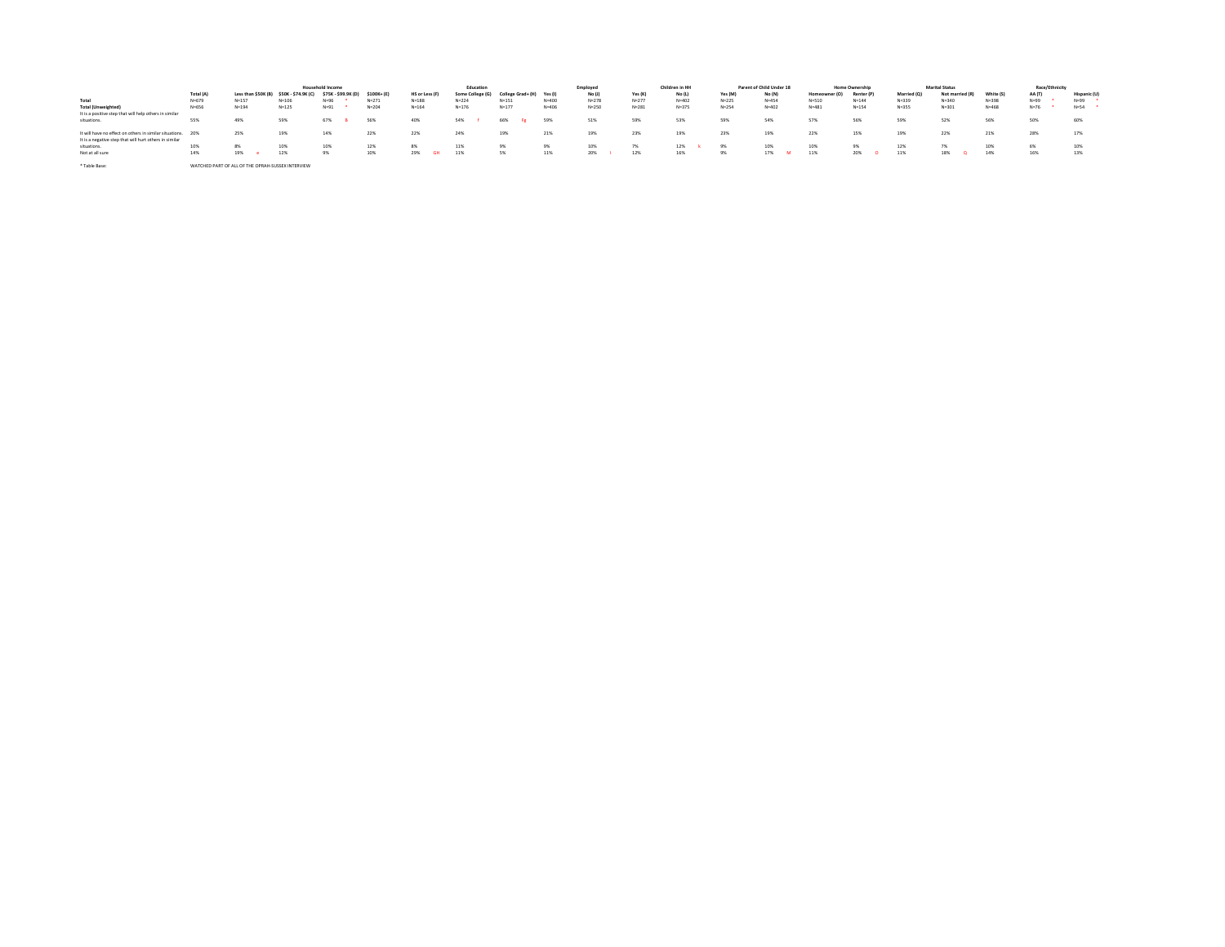|                                                             |                                                   |           |                                         | <b>Household Income</b> |            |                  | Education        |                   |           | Employed  |           | Children in HH |           | Parent of Child Under 18 |               | <b>Home Ownership</b> |             | <b>Marital Status</b> |           | Race/Ethnicity |             |
|-------------------------------------------------------------|---------------------------------------------------|-----------|-----------------------------------------|-------------------------|------------|------------------|------------------|-------------------|-----------|-----------|-----------|----------------|-----------|--------------------------|---------------|-----------------------|-------------|-----------------------|-----------|----------------|-------------|
|                                                             | Total (A)                                         |           | Less than \$50K (B) \$50K - \$74.9K (C) | \$75K - \$99.9K (D)     | \$100K+(E) | HS or Less (F)   | Some College (G) | College Grad+ (H) | Yes (I)   | No (J)    | Yes (K)   | No (L)         | Yes (M)   | No (N)                   | Homeowner (O) | Renter (P)            | Married (Q) | Not married (R)       | White (S) | AA (T)         | Hispanic (I |
| Total                                                       | $N = 679$                                         | $N = 157$ | $N = 106$                               | $N = 96$                | $N = 271$  | $N = 188$        | $N = 224$        | $N = 151$         | $N = 400$ | $N = 278$ | $N = 277$ | $N = 402$      | $N=225$   | $N = 454$                | $N = 510$     | $N = 144$             | $N = 339$   | $N = 340$             | $N = 398$ | $N = 99$       | $N = 99$    |
| <b>Total (Unweighted)</b>                                   | N=656                                             | $N = 194$ | $N = 125$                               | $N = 91$                | $N = 204$  | $N = 164$        | $N = 176$        | $N = 177$         | $N = 406$ | $N = 250$ | $N = 281$ | $N = 375$      | $N = 254$ | $N = 402$                | $N = 481$     | $N=154$               | $N = 355$   | $N = 301$             | $N = 468$ | $N = 76$       | $N = 54$    |
| It is a positive step that will help others in similar      |                                                   |           |                                         |                         |            |                  |                  |                   |           |           |           |                |           |                          |               |                       |             |                       |           |                |             |
| situations.                                                 | 55%                                               | 49%       | 59%                                     | 67%                     | <b>S6%</b> | 40%              | 54%              | 66%               | 59%       | 51%       | 59%       | 53%            | 59%       | 54%                      | 57%           | 56%                   | 59%         | 52%                   | 56%       | 50%            | 60%         |
|                                                             |                                                   |           |                                         |                         |            |                  |                  |                   |           |           |           |                |           |                          |               |                       |             |                       |           |                |             |
| It will have no effect on others in similar situations. 20% |                                                   | 25%       |                                         | 14%                     | 22%        | 22%              | 24%              | 19%               | 21%       | 19%       | 23%       | 19%            | 23%       | 19%                      | 22%           | 15%                   | 19%         | 22%                   | 21%       | 28%            |             |
| It is a negative step that will hurt others in similar      |                                                   |           |                                         |                         |            |                  |                  |                   |           |           |           |                |           |                          |               |                       |             |                       |           |                |             |
| situations.                                                 | 10%                                               | 8%        |                                         | 10%                     | 12%        | 8%               | 11%              | 9%                | 9%        | 10%       | 7%        |                | 9%        | 10%                      | 10%           | 9%                    | 12%         | 7%                    | 109       | 6%             |             |
| Not at all sure                                             | 14%                                               | 19%       | 12%                                     | 9%                      | 10%        | 29%<br><b>GH</b> | 11%              | 5%                | 11%       | 20%       | 12%       | 16%            | 9%        | 17%                      | 11%           | 20%                   | 11%         | 18%                   | 14%       | 16%            | 13%         |
|                                                             |                                                   |           |                                         |                         |            |                  |                  |                   |           |           |           |                |           |                          |               |                       |             |                       |           |                |             |
| * Table Base:                                               | WATCHED PART OF ALL OF THE OPRAH-SUSSEX INTERVIEW |           |                                         |                         |            |                  |                  |                   |           |           |           |                |           |                          |               |                       |             |                       |           |                |             |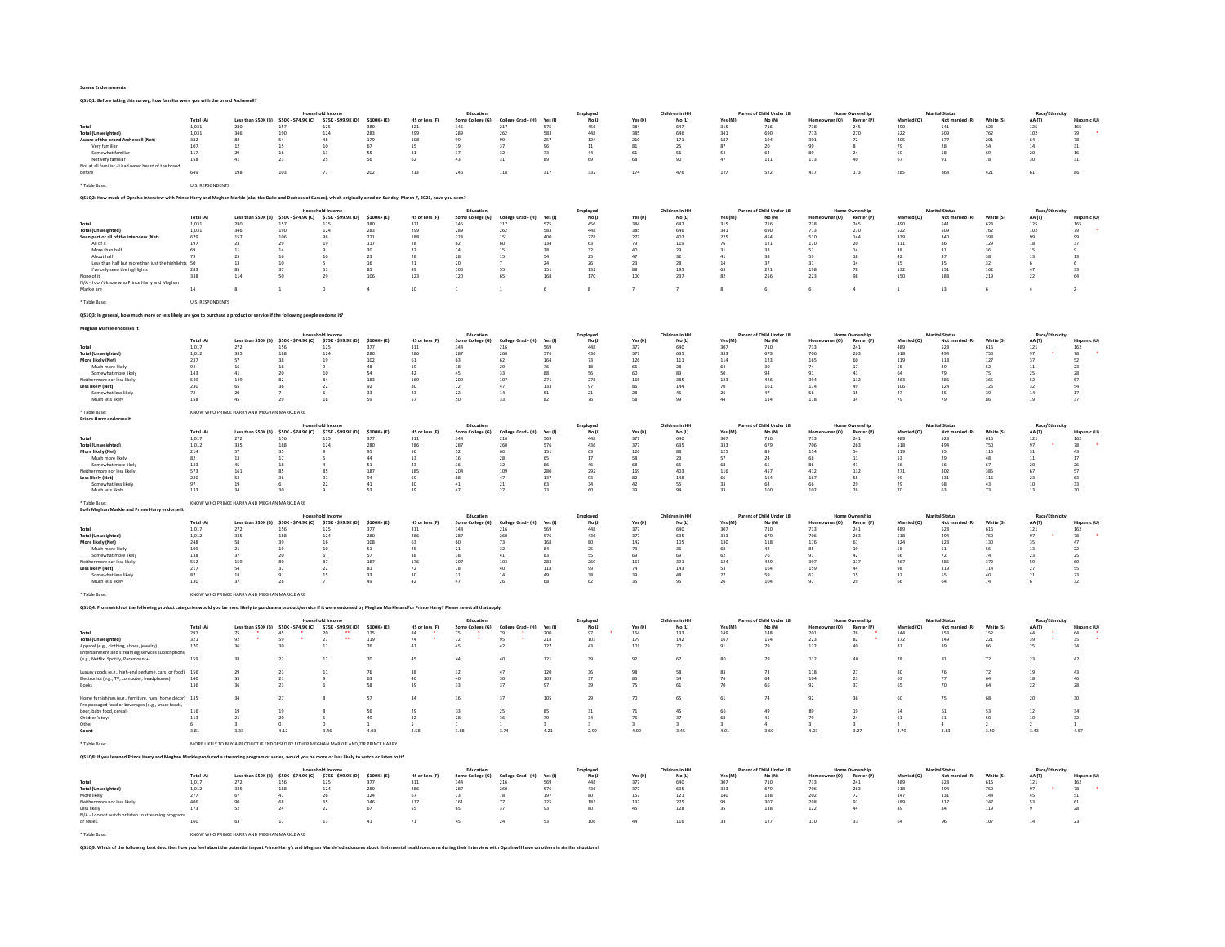QS1Q1: Before taking this survey, how familiar were you with the brand Archewell?

|                                                                                                                                                                                 |                         |                                                                                      |                                                |                                         |                      |                       | Education                                                                                   |                          |                | Employee             |                | Children in HI                              |                | f Child Under 18                   |                       | <b>Home Ownership</b>                      |                    |                                          |                  | Race/I             |                   |
|---------------------------------------------------------------------------------------------------------------------------------------------------------------------------------|-------------------------|--------------------------------------------------------------------------------------|------------------------------------------------|-----------------------------------------|----------------------|-----------------------|---------------------------------------------------------------------------------------------|--------------------------|----------------|----------------------|----------------|---------------------------------------------|----------------|------------------------------------|-----------------------|--------------------------------------------|--------------------|------------------------------------------|------------------|--------------------|-------------------|
| Total                                                                                                                                                                           | Total (A)<br>1.031      | 280                                                                                  | \$50K (B) \$50K - \$74.9K (C)<br>157           | \$75K - \$99.9K (D)<br>125              | \$100K+(E)<br>380    | HS or Less (F)<br>321 | Some College (G)<br>345                                                                     | College Grad+ (H)<br>217 | Yes (I)<br>575 | No $(i)$<br>456      | Yes (K)<br>384 | $\mathsf{No}\left(\mathsf{L}\right)$<br>647 | Yes (M)<br>315 | No (N)<br>716                      | r (O)<br>738          | Renter (P<br>245                           | Married (Q)<br>490 | Not r<br>d (R)<br>541                    | White (S)<br>623 | AA (T)<br>125      | 165               |
| <b>Total (Unweighted)</b>                                                                                                                                                       | 1,031                   | 346                                                                                  | 190                                            | 124                                     | 283                  | 299                   | 289                                                                                         | 262                      | 583            | 448                  | $385\,$        | 646                                         | 341            | 690                                | 713                   | 270                                        | 522                | 509                                      | 762              | 102                |                   |
| Aware of the brand Archewell (Net)                                                                                                                                              | 382                     | 82                                                                                   | 54                                             | 48                                      | 179                  | 108                   | 99                                                                                          | 99                       | 257            | 124                  | 210            | 171                                         | 187            | 194                                | 301                   | 72                                         | 205                | 177                                      | 201              | 64                 | 78                |
| Very familiar                                                                                                                                                                   | 107                     | 12                                                                                   | 15                                             | 10                                      | 67                   | 15                    | 19                                                                                          | 37                       | 96             | 11                   | 81             | 25                                          | 87             | 20                                 | 99                    |                                            | 79<br>60           | 28                                       | 54               | 14                 | 31                |
| Somewhat familiar<br>Not yery familiar                                                                                                                                          | 117<br>158              | 29<br>$41\,$                                                                         | 16<br>23                                       | 13<br>25                                | SS<br>56             | 31<br>62              | 37<br>43                                                                                    | 32<br>31                 | 73<br>89       | 44<br>69             | 61<br>68       | 56<br>90                                    | 54<br>47       | 64<br>$\bf 111$                    | 89<br>113             | 24<br>40                                   | 67                 | 58<br>91                                 | 69<br>78         | 20<br>30           | 16<br>$_{\rm 31}$ |
| Not at all familiar - I had never heard of the brand                                                                                                                            |                         |                                                                                      |                                                |                                         |                      |                       |                                                                                             |                          |                |                      |                |                                             |                |                                    |                       |                                            |                    |                                          |                  |                    |                   |
| before                                                                                                                                                                          | 649                     | 198                                                                                  | 103                                            |                                         | 202                  | 213                   | 246                                                                                         | 118                      | 317            | 332                  | 174            | 476                                         | 127            | 522                                | 437                   | 173                                        | <b>285</b>         | 364                                      | 421              | 61                 | 86                |
| Table Base:                                                                                                                                                                     | <b>U.S. REPSONDENTS</b> |                                                                                      |                                                |                                         |                      |                       |                                                                                             |                          |                |                      |                |                                             |                |                                    |                       |                                            |                    |                                          |                  |                    |                   |
|                                                                                                                                                                                 |                         |                                                                                      |                                                |                                         |                      |                       |                                                                                             |                          |                |                      |                |                                             |                |                                    |                       |                                            |                    |                                          |                  |                    |                   |
| QS1Q2: How much of Oprah's interview with Prince Harry and Meghan Markle (aka, the Duke and Duchess of Sussex), which originally aired on Sunday, March 7, 2021, have you seen? |                         |                                                                                      |                                                |                                         |                      |                       |                                                                                             |                          |                |                      |                |                                             |                |                                    |                       |                                            |                    |                                          |                  |                    |                   |
|                                                                                                                                                                                 |                         |                                                                                      |                                                |                                         |                      |                       | Education                                                                                   |                          |                | Employed             |                | Children in HI                              |                | Parent of Child Under 18           |                       | <b>Home Ownership</b>                      |                    | <b>Marital Status</b>                    |                  | Race/Et            |                   |
|                                                                                                                                                                                 | Total (A)               |                                                                                      | \$50K (B) \$50K - \$74.9K (C)                  | \$75K - \$99.9K (D)                     | \$100K+(E)           | HS or Less (F)        | Some College (G)                                                                            | College Grad+ (H)        | Yes (I)        | No $(i)$             | Yes (K)        | No (L)                                      | Yes (M)        | No (N)                             | r (O)                 | <b>Renter (P</b>                           | Marr<br>i (O)      | Not:                                     | White (S         | AA (T)             |                   |
| Total<br><b>Total (Unweighted)</b>                                                                                                                                              | 1.031<br>1,031          | 280<br>346                                                                           | 157<br>190                                     | 125<br>124                              | 380<br>283           | 321<br>299            | 345<br>289                                                                                  | 217<br>262               | 575<br>583     | 456<br>448           | 384<br>$385\,$ | 647<br>646                                  | 315<br>341     | 716<br>690                         | 738<br>713            | 245<br>270                                 | 490<br>522         | 541<br>509                               | 623<br>762       | 125<br>102         | 165               |
| Seen part or all of the interview (Net)                                                                                                                                         | 679                     | 157                                                                                  | 106                                            | $Q_0$                                   | 271                  | 188                   | 224                                                                                         | 151                      | 400            | 278                  | 277            | 402                                         | 225            | 454                                | 510                   | 144                                        | 339                | 340                                      | 398              | 99                 |                   |
| All of it                                                                                                                                                                       | 197                     | 23                                                                                   | 29                                             | 19                                      | 117                  | 28                    | 62                                                                                          | 60                       | 134            | 63                   | 79             | 119                                         | 76             | 121                                | 170                   | 20                                         | 111                | 86                                       | 129              | 18                 | 37                |
| More than half<br>About half                                                                                                                                                    | 69<br>79                | 11                                                                                   | 14<br>16                                       | $10^{-1}$                               | 30<br>23             | $\bf{22}$<br>28       | 14<br>28                                                                                    | 15                       | 38<br>54       | 32                   | 40<br>47       | 29<br>32                                    | 31<br>41       | 38<br>38                           | 52<br>59              | 14<br>18                                   | 38<br>42           | 37                                       | 36<br>38         | 15                 | 13                |
| Less than half but more than just the highlights 50                                                                                                                             |                         | 25<br>13                                                                             | 10                                             |                                         | 16                   | 21                    | 20                                                                                          | 15                       | 24             | 25<br>26             | 23             | 28                                          | 14             | 37                                 | 31                    | 14                                         | 15                 | 35                                       | 32               | 13                 |                   |
| I've only seen the highlights                                                                                                                                                   | 283                     |                                                                                      |                                                | 53                                      | 85                   |                       | 100                                                                                         | <sub>55</sub>            | 151            | 132                  | 88             | 195                                         |                | 221                                | 198                   | 78                                         | 132                | 151                                      | 162              | 47                 | 33                |
| None of it                                                                                                                                                                      | 338                     | 114                                                                                  | 50                                             | $\overline{2}$                          | 106                  | 123                   | 120                                                                                         | 65                       | 168            | 170                  | 100            | 237                                         | 82             | 256                                | 223                   | QR                                         | 150                | 188                                      | 219              | 22                 | 64                |
| N/A - I don't know who Prince Harry and Meghar                                                                                                                                  | 14                      |                                                                                      |                                                |                                         |                      | 10                    |                                                                                             |                          |                |                      |                |                                             |                | 6                                  |                       |                                            |                    | 13                                       |                  |                    |                   |
| Markle are                                                                                                                                                                      |                         |                                                                                      |                                                |                                         |                      |                       |                                                                                             |                          |                |                      |                |                                             |                |                                    |                       |                                            |                    |                                          |                  |                    |                   |
| <b>Table Base</b>                                                                                                                                                               | <b>U.S. RESPONDENTS</b> |                                                                                      |                                                |                                         |                      |                       |                                                                                             |                          |                |                      |                |                                             |                |                                    |                       |                                            |                    |                                          |                  |                    |                   |
| QS1Q3: In general, how much more or less likely are you to purchase a product or service if the following people endorse it?                                                    |                         |                                                                                      |                                                |                                         |                      |                       |                                                                                             |                          |                |                      |                |                                             |                |                                    |                       |                                            |                    |                                          |                  |                    |                   |
|                                                                                                                                                                                 |                         |                                                                                      |                                                |                                         |                      |                       |                                                                                             |                          |                |                      |                |                                             |                |                                    |                       |                                            |                    |                                          |                  |                    |                   |
| Meghan Markle endorses it                                                                                                                                                       |                         |                                                                                      |                                                |                                         |                      |                       |                                                                                             |                          |                |                      |                |                                             |                |                                    |                       |                                            |                    |                                          |                  |                    |                   |
|                                                                                                                                                                                 | Total (A)               | Less than \$50K (B) \$50K - \$74.9K (C)                                              |                                                | Household Incom<br>\$75K - \$99.9K (D)  | \$100K+(E)           | <b>HS or Less (F</b>  | Education<br>Some College (G)                                                               | College Grad+ (H)        | Yes (I)        | Employee<br>No(1)    | Yes (K)        | Children in HH<br>No (L)                    | Yes (M)        | Parent of Child Under 18<br>No (N) | r (O)                 | Home Ownership<br>Renter (P)               | Married (O)        | <b>Marital Status</b><br>Not ma          | White (S         | Race/Fth<br>AA (T) |                   |
| Total                                                                                                                                                                           | 1,017                   | 272                                                                                  | 156                                            | 125                                     | 377                  | 311                   | 344                                                                                         | 216                      | 569            | 448                  | 377            | 640                                         | 307            | 710                                | 733                   | 241                                        | 489                | 528                                      | 616              | $121\,$            | 162               |
| <b>Total (Unweighted)</b>                                                                                                                                                       | 1,012                   | 335                                                                                  | 188                                            | 124                                     | 280                  | 286                   | 287                                                                                         | 260                      | 576            | 436                  | 377            | 635                                         | 333            | 679                                | 706                   | 263                                        | 518                | 494                                      | 750              | 97                 | ${\bf 78}$        |
| More likely (Net)<br>Much more likely                                                                                                                                           | 237                     | 57                                                                                   | 38<br>18                                       | 19                                      | 102<br>48            | 61                    | 63<br>18                                                                                    | 62                       | 164            | 73                   | 126            | 111                                         | 114            | 123                                | 165                   | 60<br>17                                   | 119<br><b>SS</b>   | 118                                      | 127<br>52        | 37                 | 52<br>23          |
| Somewhat more likely                                                                                                                                                            | 143                     | 41                                                                                   | 20                                             | 10                                      | 54                   | 42                    | 45                                                                                          | 22                       | 88             | 56                   | 60             | 83                                          | 50             | 94                                 | Q <sub>1</sub>        | 43                                         | 64                 | 79                                       | 75               | 25                 | 28                |
| Neither more nor less likely                                                                                                                                                    | 549                     | 149                                                                                  | 82                                             | 84                                      | 183                  | 169                   | 209                                                                                         | 107                      | 271            | 278                  | 165            | 385                                         | 123            | 426                                | 394                   | 132                                        | 263                | 286                                      | 365              | 52                 | 57                |
| Less likely (Net)<br>Somewhat less likely                                                                                                                                       | 230<br>72               | 65<br>20                                                                             | 36                                             | $_{22}$                                 | 92<br>33             | 80<br>23              | 72<br>22                                                                                    | 47<br>14                 | $133\,$<br>51  | 97<br>21             | 86<br>28       | 144<br>45                                   | 70<br>26       | 161<br>47                          | 174<br>56             | 49<br>15                                   | 106<br>27          | 124<br>45                                | 125<br>39        | 32<br>14           | 54<br>17          |
| Much less likely                                                                                                                                                                | 158                     | 45                                                                                   | 29                                             | 16                                      | 59                   | 57                    | 50                                                                                          | 33                       | 82             | 76                   | 58             | 99                                          | 44             | 114                                | 118                   | 34                                         | 79                 | 79                                       | 86               | 19                 | 37                |
|                                                                                                                                                                                 |                         |                                                                                      |                                                |                                         |                      |                       |                                                                                             |                          |                |                      |                |                                             |                |                                    |                       |                                            |                    |                                          |                  |                    |                   |
| * Table Base<br>Prince Harry endorses i                                                                                                                                         |                         | KNOW WHO PRINCE HARRY AND MEGHAN MARKLE ARE                                          |                                                |                                         |                      |                       |                                                                                             |                          |                |                      |                |                                             |                |                                    |                       |                                            |                    |                                          |                  |                    |                   |
|                                                                                                                                                                                 |                         |                                                                                      |                                                |                                         |                      |                       | Education                                                                                   |                          |                | Employed             |                | Children in HH                              |                | Parent of Child Under 18           |                       | <b>Home Ownership</b>                      |                    | <b>Marital Status</b>                    |                  | Race/Et            |                   |
|                                                                                                                                                                                 | Total (A)               |                                                                                      | Less than \$50K (B) \$50K - \$74.9K (C)        | \$75K - \$99.9K (D)                     | \$100K+(E)           | <b>HS or Less (F)</b> | Some College (G)                                                                            | College Grad+ (H)        | Yes (I)        | No(1)                | Yes (K)        | No (L)                                      | Yes (M)        | No (N)                             | r(0)                  | <b>Renter (P)</b>                          | Married (O)        | Not married (R)                          | White (S)        | AA (T)             |                   |
| Total<br><b>Total (Unweighted)</b>                                                                                                                                              | 1,017<br>1,012          | 272<br>335                                                                           | 156<br>188                                     | 125<br>124                              | 377<br>280           | 311<br>286            | 344<br>287                                                                                  | 216<br>260               | 569<br>576     | 448<br>436           | 377<br>377     | 640<br>635                                  | 307<br>333     | 710<br>679                         | 733<br>706            | 241<br>263                                 | 489<br>518         | 528<br>494                               | 616<br>750       | 121<br>97          | 162<br>78         |
| More likely (Net)                                                                                                                                                               | 214                     | 57                                                                                   | 35                                             |                                         | 95                   | 56                    | 52                                                                                          | 60                       | 151            | 63                   | 126            | 88                                          | 125            | 89                                 | 154                   | $\alpha$                                   | 119                | 95                                       | 115              | 31                 | 43                |
| Much more likely                                                                                                                                                                | 82                      | 13                                                                                   | 17                                             |                                         | 44                   | 13                    | 16                                                                                          | 28                       | 65             | 17                   | 58             | 23                                          | 57             | 24                                 | 68                    | 13                                         | 53                 | 29                                       | 48               | 11                 | 17                |
| Somewhat more likely                                                                                                                                                            | 133                     |                                                                                      |                                                |                                         | 51                   |                       |                                                                                             |                          |                |                      | 68             |                                             | 116            |                                    |                       |                                            | 66                 |                                          | 67               | 67                 | 26                |
|                                                                                                                                                                                 |                         |                                                                                      |                                                |                                         |                      |                       |                                                                                             |                          |                |                      |                |                                             |                |                                    |                       |                                            |                    |                                          |                  |                    |                   |
| Neither more nor less likely                                                                                                                                                    | 573                     | 161                                                                                  | R5                                             | 8S                                      | 187                  | 185                   | 204                                                                                         | 109                      | 280            | 292                  | 169            | 403                                         |                | 457                                | 412                   | 132                                        | 271                | 302                                      | 385              |                    | 57                |
| Less likely (Net)<br>Somewhat less likely                                                                                                                                       | 230<br>97               | 53<br>19                                                                             | 36                                             | 31<br>$_{22}$                           | 94<br>41             | 69<br>30              | 88<br>41                                                                                    | 47<br>21                 | 137<br>63      | 93                   | 82<br>42       | 148<br>SS.                                  | 66<br>33       | 164<br>64                          | 167<br>66             | SS.<br>29                                  | 99<br>29           | 131<br>68                                | 116<br>43        | 23<br>10           | 63<br>33          |
| Much less likely                                                                                                                                                                | 133                     | 24                                                                                   | $\alpha$                                       |                                         | 53                   | 39                    | 47                                                                                          | 27                       | 73             | 60                   | 39             | 94                                          | 33             | 100                                | 102                   | 26                                         | 70                 | 63                                       | 73               | 13                 | 30                |
| * Table Base                                                                                                                                                                    |                         |                                                                                      |                                                |                                         |                      |                       |                                                                                             |                          |                |                      |                |                                             |                |                                    |                       |                                            |                    |                                          |                  |                    |                   |
| <b>Both Meghan Markle and Prince Harry of</b>                                                                                                                                   |                         | KNOW WHO PRINCE HARRY AND MEGHAN MARKLE ARE                                          |                                                |                                         |                      |                       |                                                                                             |                          |                |                      |                |                                             |                |                                    |                       |                                            |                    |                                          |                  |                    |                   |
|                                                                                                                                                                                 |                         |                                                                                      |                                                | Jousebold Income                        |                      |                       | Education                                                                                   |                          |                | Employee             |                | Children in HH                              |                | Parent of Child Under 18           |                       | <b>Home Ownership</b>                      |                    | <b>Marital Status</b>                    |                  | Race/Ethnicit      |                   |
| Total                                                                                                                                                                           | Total (A)<br>1.017      | 272                                                                                  | Less than \$50K (B) \$50K - \$74.9K (C)<br>156 | \$75K - \$99.9K (D)<br>125              | $$100K + (E)$<br>377 | HS or Less (F)<br>311 | Some College (G)<br>344                                                                     | College Grad+ (H)<br>216 | Yes (I)<br>569 | No(1)<br>448         | Yes (K)<br>377 | $\mathsf{No}\left(\mathsf{L}\right)$<br>640 | Yes (M)<br>307 | No (N)<br>710                      | r (O)<br>733          | Renter (P)<br>241                          | Married<br>489     | Not married (R)<br>528                   | White (S)<br>616 | AA (T)<br>121      | 162               |
| <b>Total (Unweighted)</b>                                                                                                                                                       | 1,012                   | 335                                                                                  | 188                                            | 124                                     | 280                  | 286                   | 287                                                                                         | 260                      | 576            | 436                  | 377            | 635                                         | 333            | 679                                | 706                   | 263                                        | 518                | 494                                      | 750              | 97                 | 78                |
| More likely (Net)                                                                                                                                                               | 248                     | 58                                                                                   | 39                                             | 16                                      | 108                  | 63                    |                                                                                             | 73                       | 168            | 80                   | 142            | 105                                         | 130            | 118                                | 176                   | 61                                         | 124                | 123                                      | 130              | 35                 | 47                |
| Much more likely                                                                                                                                                                | 109                     | 21                                                                                   | 19                                             | $10^{-1}$                               | 51                   | 25                    | 21                                                                                          | 32                       | 84             | 25                   | 73             | 36                                          | 68             | 42                                 | 85                    | 19                                         | 58                 | 51                                       | 56               | 13                 | 22                |
| Somewhat more likely<br>ther more nor less likely                                                                                                                               | 138<br>552              | 37<br>159                                                                            | 20                                             | 87                                      | 57<br>187            | 38<br>176             | 38<br>207                                                                                   | 41<br>103                | 83<br>283      | <sub>55</sub><br>269 | 69<br>161      | 69<br>391                                   | 62<br>124      | 76<br>429                          | 91<br>397             | 42<br>137                                  | 66<br>267          | 72<br>285                                | 74<br>372        | 23                 | 25<br>60          |
| Less likely (Net)                                                                                                                                                               | 217                     | S4                                                                                   | 37                                             | $\mathcal{D}$                           | 81                   | 72                    | 78                                                                                          | 40                       | 118            | 99                   | 74             | 143                                         | 52             | 164                                | 159                   | 44                                         | 98                 | 119                                      | 114              | 27                 | 55                |
| Somewhat less likely                                                                                                                                                            | 87                      | 18                                                                                   |                                                | 15                                      | 33                   | 30                    | 31                                                                                          | 14                       | 49             | 38                   | 39             | 48                                          | 27             | 59                                 | 62                    | 15                                         | 32                 | SS.                                      | 40               | 21                 | 23                |
| Much less likely                                                                                                                                                                | 130                     | 37                                                                                   | 28                                             |                                         | 49                   | 42                    | 47                                                                                          | 26                       | 68             | 62                   | 35             | 95                                          | 26             | 104                                | 97                    | 29                                         | 66                 | 64                                       | 74               |                    | 32                |
| <b>Table Base</b>                                                                                                                                                               |                         | KNOW WHO PRINCE HARRY AND MEGHAN MARKLE ARE                                          |                                                |                                         |                      |                       |                                                                                             |                          |                |                      |                |                                             |                |                                    |                       |                                            |                    |                                          |                  |                    |                   |
| QS1Q4: From which of the follo                                                                                                                                                  |                         | uld you be most likely to pu                                                         |                                                |                                         |                      |                       | vice if it were endorsed by Meghan Markle and/or Prince Harry? Please select all that apply |                          |                |                      |                |                                             |                |                                    |                       |                                            |                    |                                          |                  |                    |                   |
|                                                                                                                                                                                 |                         |                                                                                      |                                                |                                         |                      |                       |                                                                                             |                          |                |                      |                |                                             |                |                                    |                       |                                            |                    |                                          |                  |                    |                   |
|                                                                                                                                                                                 | Total (A)               |                                                                                      | Less than \$50K (B) \$50K - \$74.9K (C)        | \$75K - \$99.9K (D)                     | \$100K+(E)           | <b>HS or Less (F)</b> | Educatio<br>Some College (G)                                                                | College Grad+ (H)        | Yes (I)        | Employed<br>No(1)    | Yes (K)        | Children in HH<br>No (L)                    | Yes (M)        | Parent of Child Under 18<br>No (N) | r(0)                  | <b>Home Ownership</b><br><b>Renter (P)</b> | Married (O)        | <b>Marital Status</b><br>Not married (R) | White (S)        | Race/Eth<br>AA (T) |                   |
| Total                                                                                                                                                                           | 297                     | 75                                                                                   | 45                                             | 20                                      | 125                  | 84                    | 75                                                                                          | 79                       | 200            | 97                   | 164            | 133                                         | 149            | 148                                | 201                   | 76                                         | 144                | 153                                      | 152              | 44                 | 64                |
| <b>Total (Unweighted)</b>                                                                                                                                                       | 321                     | 92                                                                                   | 59                                             | $\overline{27}$<br>$\ddot{\phantom{a}}$ | 119                  | 74                    | $72\,$                                                                                      | 95                       | 218            | 103                  | 179            | 142                                         | 167            | 154                                | 223                   | 82                                         | 172                | 149                                      | 221              | 39                 | 35                |
| Apparel (e.g., clothing, shoes, jewelry)<br>Entertainment and streaming services subscriptions                                                                                  | $170\,$                 | 36                                                                                   | 30                                             | $\overline{11}$                         | 76                   | 41                    | 45                                                                                          | 42                       | 127            | $43\,$               | 101            | $70\,$                                      | 91             | 79                                 | 122                   | 40                                         | 81                 | 89                                       | 86               | 25                 | 34                |
| (e.g., Netflix, Spotify, Paramount+)                                                                                                                                            | 159                     | 38                                                                                   | $_{22}$                                        | 12                                      | 70                   | 4S                    | 44                                                                                          | 40                       | $121\,$        | 39                   | 92             | 67                                          |                | 79                                 | 112                   | 40                                         | 78                 | 81                                       | 72               | 23                 | $42\,$            |
|                                                                                                                                                                                 |                         |                                                                                      |                                                |                                         |                      |                       |                                                                                             |                          |                |                      |                |                                             |                |                                    |                       |                                            |                    |                                          |                  |                    |                   |
| Luxury goods (e.g., high-end perfume, cars, or food) 156                                                                                                                        |                         | 29                                                                                   | 23                                             | 11                                      | 76                   | 38                    | 32                                                                                          | 47                       | 120            |                      | 98             | 58                                          | 83             | 73                                 | 118                   | 27                                         | 80                 |                                          | 72               | 19                 | 43                |
| Electronics (e.g., TV, computer, headphones)<br>Rooks                                                                                                                           | 140<br>136              | 33                                                                                   | 21<br>2 <sup>3</sup>                           |                                         | 58                   | 40<br>39              | 33                                                                                          | 37                       | 103<br>97      |                      | 85<br>75       | 54<br>61                                    |                | 66                                 | 10 <sup>2</sup><br>92 | 23<br>37                                   | 63<br>65           | $\overline{20}$                          | 64               | 22                 | 28                |
|                                                                                                                                                                                 |                         |                                                                                      |                                                |                                         |                      |                       |                                                                                             |                          |                |                      |                |                                             |                |                                    |                       |                                            |                    |                                          |                  |                    |                   |
| Home furnishings (e.g., furniture, rugs, home décor) 135                                                                                                                        |                         |                                                                                      | 27                                             |                                         | 57                   | 34                    | 36                                                                                          | 37                       | 105            | 29                   | 70             | 65                                          |                | 74                                 | 92                    | 36                                         | 60                 | 79                                       | 68               | 20                 | 30                |
| Pre-packaged food or beverages (e.g., snack foods,<br>beer, baby food, cereal)                                                                                                  | 116                     | 19                                                                                   | 19                                             |                                         | 56                   | 29                    | 33                                                                                          | 25                       | 85             | 31                   | 71             | 45                                          | 66             | 49                                 | 89                    | 19                                         | 54                 | 61                                       | 53               | 12                 | 34                |
| Children's toys                                                                                                                                                                 | $113\,$                 | $21\,$                                                                               | 20                                             |                                         | 49                   | 32                    | 28                                                                                          |                          | 79             |                      | 76             | 37                                          | 68             | 45                                 | 79                    | $^{24}$                                    | 61                 | 51                                       | 50               | 10                 | 32                |
| Other<br>Count                                                                                                                                                                  | 3.81                    | 3.33                                                                                 | 4.12                                           | 3.46                                    | 4.03                 | 3.58                  | 3.88                                                                                        | 3.74                     | 4.21           | 2.99                 | 4.09           | 3.45                                        | 4.01           | 3.60                               | 4.03                  | 3.27                                       | 3.79               | 3.83                                     | 3.50             | 3.43               | 4.57              |
|                                                                                                                                                                                 |                         |                                                                                      |                                                |                                         |                      |                       |                                                                                             |                          |                |                      |                |                                             |                |                                    |                       |                                            |                    |                                          |                  |                    |                   |
| * Table Rase                                                                                                                                                                    |                         | MORE LIKELY TO BUY A PRODUCT IF ENDORSED BY EITHER MEGHAN MARKLE AND/OR PRINCE HARRY |                                                |                                         |                      |                       |                                                                                             |                          |                |                      |                |                                             |                |                                    |                       |                                            |                    |                                          |                  |                    |                   |
|                                                                                                                                                                                 |                         |                                                                                      |                                                |                                         |                      |                       |                                                                                             |                          |                |                      |                |                                             |                |                                    |                       |                                            |                    |                                          |                  |                    |                   |
| Q\$1Q8: If you learned Prince Harry and Meghan Markle produced a streaming program or series, would you be more or less likely to watch or listen to it?                        |                         |                                                                                      |                                                |                                         |                      |                       |                                                                                             |                          |                |                      |                |                                             |                |                                    |                       |                                            |                    |                                          |                  |                    |                   |
|                                                                                                                                                                                 |                         |                                                                                      |                                                | Jousebold Incom                         |                      |                       | Education                                                                                   |                          |                | Employee             |                | Children in HH                              |                | Parent of Child Under 18           |                       | <b>Home Ownership</b>                      |                    | <b>Marital Status</b>                    |                  | Race/Eth           |                   |
| Total                                                                                                                                                                           | Total (A)<br>1,017      | Less than \$50K (B)<br>272                                                           | \$50K - \$74.9K (C)                            | \$75K - \$99.9K (D)                     | $$100K + (E)$<br>377 | HS or Less (F)<br>311 | Some College (G)<br>344                                                                     | College Grad+ (H)<br>216 | Yes (I)        | No(1)<br>448         | Yes (K)<br>377 | $\mathsf{No}\left(\mathsf{L}\right)$<br>640 | Yes (M)<br>307 | No (N)<br>710                      | r (O)<br>733          | Renter (P)<br>241                          | Marrie<br>489      | Not ma<br>528                            | White (S)<br>616 | AA (T)             | 162               |
| <b>Total (Unweighted)</b>                                                                                                                                                       | 1,012                   | 335                                                                                  | 156<br>188                                     | 125<br>124                              | 280                  | 286                   | 287                                                                                         | 260                      | 569<br>576     | 436                  | 377            | 635                                         | 333            | 679                                | 706                   | 263                                        | 518                | 494                                      | 750              | $121\,$<br>97      | 78                |
| More likely                                                                                                                                                                     | 277                     | 67                                                                                   | 47                                             | 26                                      | 124                  | 67                    | 73                                                                                          | 78                       | 197            | 80                   | 157            | $121\,$                                     | 140            | 138                                | 202                   | $72\,$                                     | 147                | 131                                      | 144              |                    | ${\sf S1}$        |
| Neither more nor less likely<br>Less likely                                                                                                                                     | 406<br>173              | 52                                                                                   | 68<br>24                                       | 65<br>22                                | 146<br>67            | 117<br><sub>SS</sub>  | 161<br>65                                                                                   | 77<br>37                 | 225<br>93      | 181<br>80            | 132<br>45      | 275<br>128                                  | 99<br>35       | 307<br>138                         | 298<br>122            | 92<br>44                                   | 189<br>89          | 217<br>84                                | 247<br>119       | 53<br>$\mathbf{Q}$ | 61<br>28          |
| N/A - I do not watch or listen to streaming programs                                                                                                                            |                         |                                                                                      |                                                |                                         |                      |                       |                                                                                             |                          |                |                      |                |                                             |                |                                    |                       |                                            |                    |                                          |                  |                    |                   |
| or series                                                                                                                                                                       | 160                     | 63                                                                                   | 17                                             | 13                                      | 41                   | 71                    | 45                                                                                          | 24                       | 53             | 106                  | 44             | 116                                         | 33             | 127                                | 110                   | 33                                         | 64                 | 96                                       | 107              | 14                 | 23                |

QS1Q9: Which of the following best describes how you feel about the potential impact Prince Harry's and Meghan Markle's disclosures about their mental health concerns during their interview with Oprah will have on others i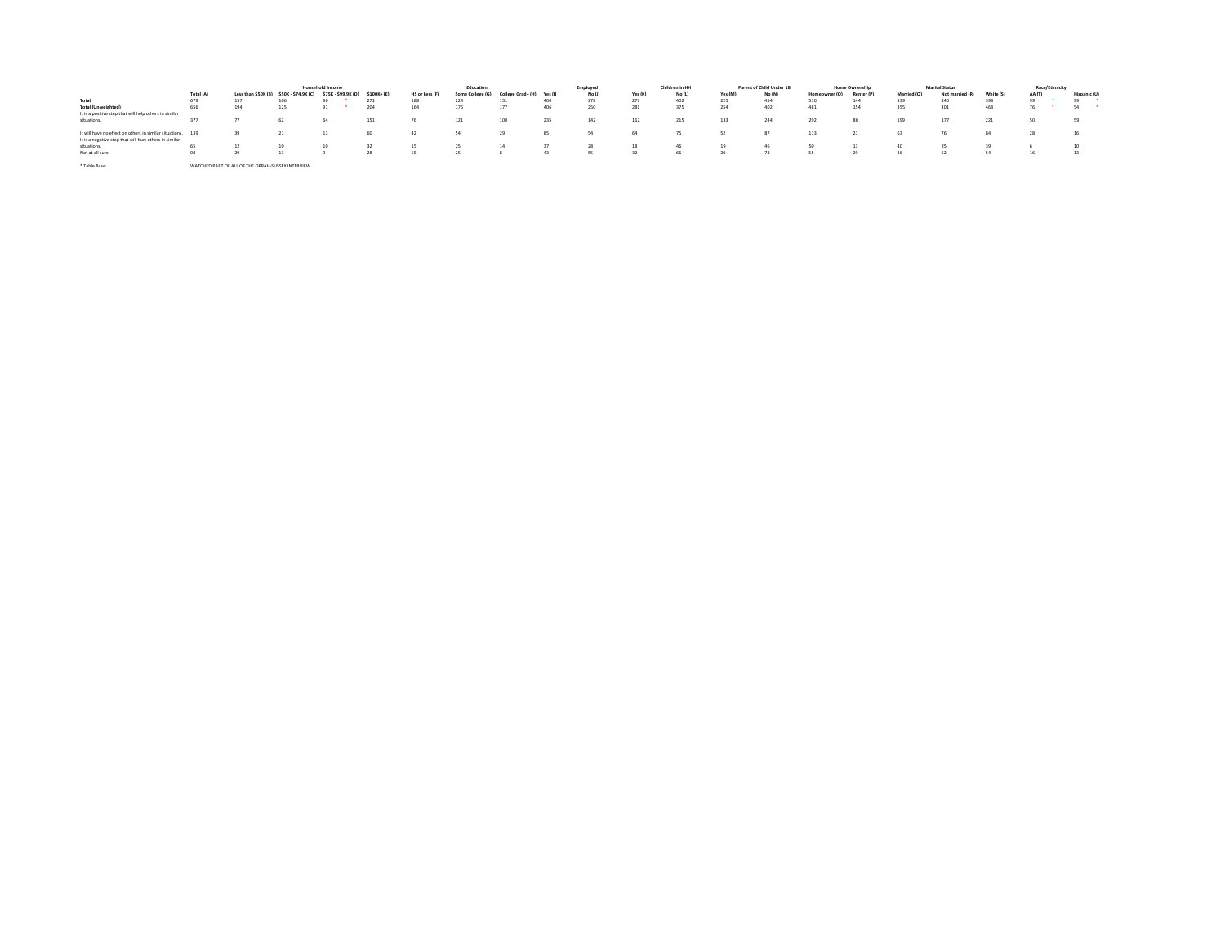|                                                             |           |                                                   |                                     | <b>Household Income</b> |            |                | Education        |                           |     | Employed |         | Children in HH |         | Parent of Child Under 18 |               | <b>Home Ownership</b> |             | <b>Marital Status</b> |           | Race/Ethnicity |              |
|-------------------------------------------------------------|-----------|---------------------------------------------------|-------------------------------------|-------------------------|------------|----------------|------------------|---------------------------|-----|----------|---------|----------------|---------|--------------------------|---------------|-----------------------|-------------|-----------------------|-----------|----------------|--------------|
|                                                             | Total (A) | Less than \$50K (B)                               | \$50K-\$74.9K (C) \$75K-\$99.9K (D) |                         | \$100K+(E) | HS or Less (F) | Some College (G) | College Grad+ (H) Yes (I) |     | No (J)   | Yes (K) | No (L)         | Yes (M) | No (N)                   | Homeowner (O) | Renter (P)            | Married (O) | Not married (R)       | White (S) | AA (T)         | Hispanic (U) |
| Total                                                       | 679       | 157                                               |                                     |                         | 271        | 188            | 224              | 151                       | 400 |          | 277     | 402            | 225     | 454                      | 510           | 144                   | 339         | 340                   | 398       |                | 99           |
| <b>Total (Unweighted)</b>                                   | 656       | 194                                               |                                     | A1.                     | 204        | 164            | 176              | 177                       | 406 | 250      | 281     | 375            | 254     | 402                      | 481           | 154                   | 355         | 301                   | 468       |                | 54           |
| It is a positive step that will help others in similar      |           |                                                   |                                     |                         |            |                |                  |                           |     |          |         |                |         |                          |               |                       |             |                       |           |                |              |
| situations.                                                 | 377       |                                                   |                                     | 64                      | 151        | 76             | 121              | 100                       | 235 | 142      | 162     | 215            | 133     | 244                      | 292           | 80                    | 199         | 177                   | 221       |                | 59           |
|                                                             |           |                                                   |                                     |                         |            |                |                  |                           |     |          |         |                |         |                          |               |                       |             |                       |           |                |              |
| It will have no effect on others in similar situations. 139 |           |                                                   |                                     |                         | 60         | 42             | 54               |                           | 85  | SA       | 64      | 75             |         | 87                       | 113           | 21                    | 63          |                       | 84        |                | 16           |
| It is a negative step that will hurt others in similar      |           |                                                   |                                     |                         |            |                |                  |                           |     |          |         |                |         |                          |               |                       |             |                       |           |                |              |
| situations.                                                 | 65        |                                                   |                                     | 10                      | 32         | -15            | -25              | 14                        | 37  | 28       | 18      | 46             |         | 46                       |               |                       | 40          | 25                    | 39        |                | 10           |
| Not at all sure                                             | 98        |                                                   |                                     |                         | 28         |                | 25               |                           | 43  | 55       | 32      | 66             | 20      | 78                       |               | 29                    |             | 62                    | 54        |                | 13           |
|                                                             |           |                                                   |                                     |                         |            |                |                  |                           |     |          |         |                |         |                          |               |                       |             |                       |           |                |              |
| * Table Base:                                               |           | WATCHED PART OF ALL OF THE OPRAH-SUSSEX INTERVIEW |                                     |                         |            |                |                  |                           |     |          |         |                |         |                          |               |                       |             |                       |           |                |              |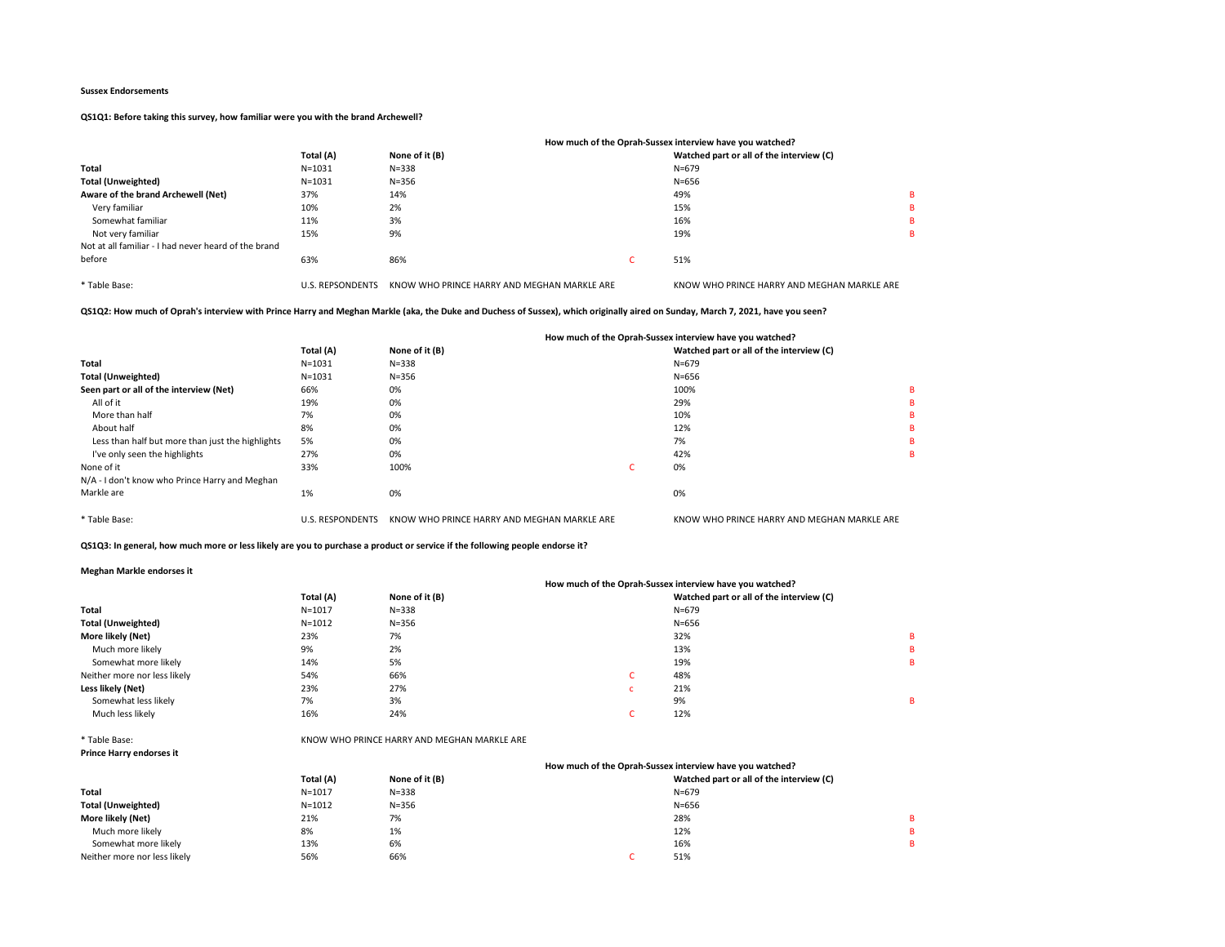# QS1Q1: Before taking this survey, how familiar were you with the brand Archewell?

|                                                      |                         |                                             | How much of the Oprah-Sussex interview have you watched? |   |
|------------------------------------------------------|-------------------------|---------------------------------------------|----------------------------------------------------------|---|
|                                                      | Total (A)               | None of it (B)                              | Watched part or all of the interview (C)                 |   |
| Total                                                | $N = 1031$              | $N = 338$                                   | $N = 679$                                                |   |
| <b>Total (Unweighted)</b>                            | $N = 1031$              | $N = 356$                                   | $N = 656$                                                |   |
| Aware of the brand Archewell (Net)                   | 37%                     | 14%                                         | 49%                                                      | в |
| Very familiar                                        | 10%                     | 2%                                          | 15%                                                      | в |
| Somewhat familiar                                    | 11%                     | 3%                                          | 16%                                                      | в |
| Not very familiar                                    | 15%                     | 9%                                          | 19%                                                      | в |
| Not at all familiar - I had never heard of the brand |                         |                                             |                                                          |   |
| before                                               | 63%                     | 86%                                         | 51%                                                      |   |
| * Table Base:                                        | <b>U.S. REPSONDENTS</b> | KNOW WHO PRINCE HARRY AND MEGHAN MARKLE ARE | KNOW WHO PRINCE HARRY AND MEGHAN MARKLE ARE              |   |

QS1Q2: How much of Oprah's interview with Prince Harry and Meghan Markle (aka, the Duke and Duchess of Sussex), which originally aired on Sunday, March 7, 2021, have you seen?

|                                                  |                         |                                             |    | How much of the Oprah-Sussex interview have you watched? |   |
|--------------------------------------------------|-------------------------|---------------------------------------------|----|----------------------------------------------------------|---|
|                                                  | Total (A)               | None of it (B)                              |    | Watched part or all of the interview (C)                 |   |
| Total                                            | $N = 1031$              | $N = 338$                                   |    | $N = 679$                                                |   |
| <b>Total (Unweighted)</b>                        | $N = 1031$              | $N = 356$                                   |    | $N = 656$                                                |   |
| Seen part or all of the interview (Net)          | 66%                     | 0%                                          |    | 100%                                                     |   |
| All of it                                        | 19%                     | 0%                                          |    | 29%                                                      | в |
| More than half                                   | 7%                      | 0%                                          |    | 10%                                                      |   |
| About half                                       | 8%                      | 0%                                          |    | 12%                                                      | B |
| Less than half but more than just the highlights | 5%                      | 0%                                          |    | 7%                                                       |   |
| I've only seen the highlights                    | 27%                     | 0%                                          |    | 42%                                                      | B |
| None of it                                       | 33%                     | 100%                                        | ι. | 0%                                                       |   |
| N/A - I don't know who Prince Harry and Meghan   |                         |                                             |    |                                                          |   |
| Markle are                                       | 1%                      | 0%                                          |    | 0%                                                       |   |
| * Table Base:                                    | <b>U.S. RESPONDENTS</b> | KNOW WHO PRINCE HARRY AND MEGHAN MARKLE ARE |    | KNOW WHO PRINCE HARRY AND MEGHAN MARKLE ARE              |   |

QS1Q3: In general, how much more or less likely are you to purchase a product or service if the following people endorse it?

### Meghan Markle endorses it

| <b>INCRITAL INTERNET CHAOLOGY IL</b> |            |                |                                                          |   |
|--------------------------------------|------------|----------------|----------------------------------------------------------|---|
|                                      |            |                | How much of the Oprah-Sussex interview have you watched? |   |
|                                      | Total (A)  | None of it (B) | Watched part or all of the interview (C)                 |   |
| Total                                | $N = 1017$ | $N = 338$      | $N = 679$                                                |   |
| <b>Total (Unweighted)</b>            | $N = 1012$ | $N = 356$      | $N = 656$                                                |   |
| More likely (Net)                    | 23%        | 7%             | 32%                                                      | в |
| Much more likely                     | 9%         | 2%             | 13%                                                      | в |
| Somewhat more likely                 | 14%        | 5%             | 19%                                                      | в |
| Neither more nor less likely         | 54%        | 66%            | 48%<br>c                                                 |   |
| Less likely (Net)                    | 23%        | 27%            | 21%<br><b>C</b>                                          |   |
| Somewhat less likely                 | 7%         | 3%             | 9%                                                       | в |
| Much less likely                     | 16%        | 24%            | 12%                                                      |   |
|                                      |            |                |                                                          |   |

\* Table Base:

Prince Harry e

|  | ince Harry endorses it |  |
|--|------------------------|--|

|                              |            |                | How much of the Oprah-Sussex interview have you watched? |   |  |
|------------------------------|------------|----------------|----------------------------------------------------------|---|--|
|                              | Total (A)  | None of it (B) | Watched part or all of the interview (C)                 |   |  |
| Total                        | $N = 1017$ | $N = 338$      | $N = 679$                                                |   |  |
| Total (Unweighted)           | $N = 1012$ | $N = 356$      | $N = 656$                                                |   |  |
| More likely (Net)            | 21%        | 7%             | 28%                                                      | в |  |
| Much more likely             | 8%         | 1%             | 12%                                                      | в |  |
| Somewhat more likely         | 13%        | 6%             | 16%                                                      | R |  |
| Neither more nor less likely | 56%        | 66%            | 51%                                                      |   |  |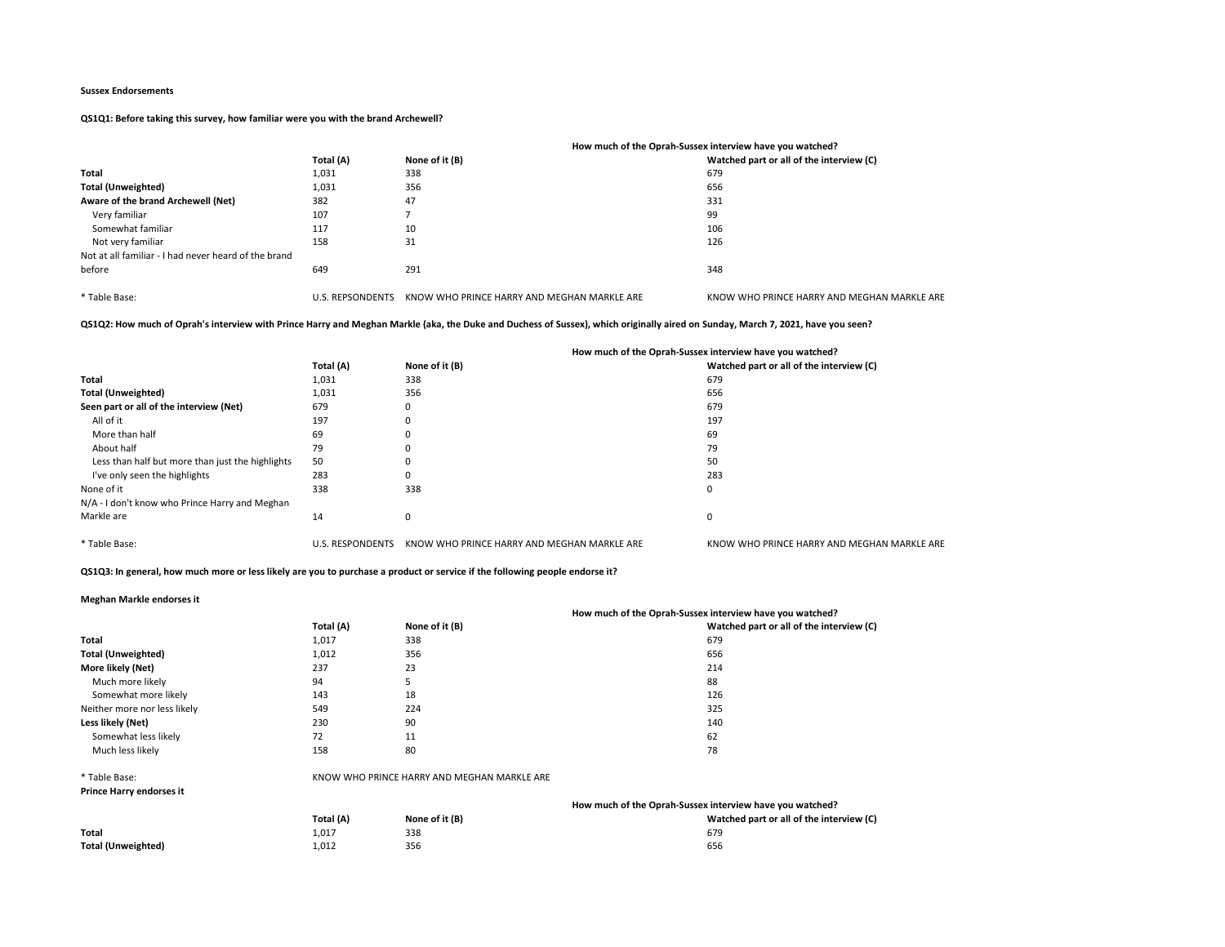QS1Q1: Before taking this survey, how familiar were you with the brand Archewell?

|                                                      |                         | How much of the Oprah-Sussex interview have you watched? |                                             |  |
|------------------------------------------------------|-------------------------|----------------------------------------------------------|---------------------------------------------|--|
|                                                      | Total (A)               | None of it (B)                                           | Watched part or all of the interview (C)    |  |
| Total                                                | 1,031                   | 338                                                      | 679                                         |  |
| <b>Total (Unweighted)</b>                            | 1,031                   | 356                                                      | 656                                         |  |
| Aware of the brand Archewell (Net)                   | 382                     | 47                                                       | 331                                         |  |
| Very familiar                                        | 107                     |                                                          | 99                                          |  |
| Somewhat familiar                                    | 117                     | 10                                                       | 106                                         |  |
| Not very familiar                                    | 158                     | 31                                                       | 126                                         |  |
| Not at all familiar - I had never heard of the brand |                         |                                                          |                                             |  |
| before                                               | 649                     | 291                                                      | 348                                         |  |
|                                                      |                         |                                                          |                                             |  |
| * Table Base:                                        | <b>U.S. REPSONDENTS</b> | KNOW WHO PRINCE HARRY AND MEGHAN MARKLE ARE              | KNOW WHO PRINCE HARRY AND MEGHAN MARKLE ARE |  |

# QS1Q2: How much of Oprah's interview with Prince Harry and Meghan Markle (aka, the Duke and Duchess of Sussex), which originally aired on Sunday, March 7, 2021, have you seen?

|                                                  |                         |                                             | How much of the Oprah-Sussex interview have you watched? |
|--------------------------------------------------|-------------------------|---------------------------------------------|----------------------------------------------------------|
|                                                  | Total (A)               | None of it (B)                              | Watched part or all of the interview (C)                 |
| Total                                            | 1,031                   | 338                                         | 679                                                      |
| <b>Total (Unweighted)</b>                        | 1,031                   | 356                                         | 656                                                      |
| Seen part or all of the interview (Net)          | 679                     | 0                                           | 679                                                      |
| All of it                                        | 197                     | 0                                           | 197                                                      |
| More than half                                   | 69                      | 0                                           | 69                                                       |
| About half                                       | 79                      | 0                                           | 79                                                       |
| Less than half but more than just the highlights | 50                      | 0                                           | 50                                                       |
| I've only seen the highlights                    | 283                     | 0                                           | 283                                                      |
| None of it                                       | 338                     | 338                                         | 0                                                        |
| N/A - I don't know who Prince Harry and Meghan   |                         |                                             |                                                          |
| Markle are                                       | 14                      | 0                                           | 0                                                        |
|                                                  |                         |                                             |                                                          |
| * Table Base:                                    | <b>U.S. RESPONDENTS</b> | KNOW WHO PRINCE HARRY AND MEGHAN MARKLE ARE | KNOW WHO PRINCE HARRY AND MEGHAN MARKLE ARE              |

# QS1Q3: In general, how much more or less likely are you to purchase a product or service if the following people endorse it?

## Meghan Markle endorses it

|                                 |           | How much of the Oprah-Sussex interview have you watched? |                                                          |  |
|---------------------------------|-----------|----------------------------------------------------------|----------------------------------------------------------|--|
|                                 | Total (A) | None of it (B)                                           | Watched part or all of the interview (C)                 |  |
| Total                           | 1,017     | 338                                                      | 679                                                      |  |
| <b>Total (Unweighted)</b>       | 1,012     | 356                                                      | 656                                                      |  |
| More likely (Net)               | 237       | 23                                                       | 214                                                      |  |
| Much more likely                | 94        | 5                                                        | 88                                                       |  |
| Somewhat more likely            | 143       | 18                                                       | 126                                                      |  |
| Neither more nor less likely    | 549       | 224                                                      | 325                                                      |  |
| Less likely (Net)               | 230       | 90                                                       | 140                                                      |  |
| Somewhat less likely            | 72        | 11                                                       | 62                                                       |  |
| Much less likely                | 158       | 80                                                       | 78                                                       |  |
| * Table Base:                   |           | KNOW WHO PRINCE HARRY AND MEGHAN MARKLE ARE              |                                                          |  |
| <b>Prince Harry endorses it</b> |           |                                                          |                                                          |  |
|                                 |           |                                                          | How much of the Oprah-Sussex interview have you watched? |  |

|                    | Total (A) | None of it (B) | Watched part or all of the interview (C) |
|--------------------|-----------|----------------|------------------------------------------|
| Total              | 1.017     | 338            | 679                                      |
| Total (Unweighted) | 1,012     | 356            | 656                                      |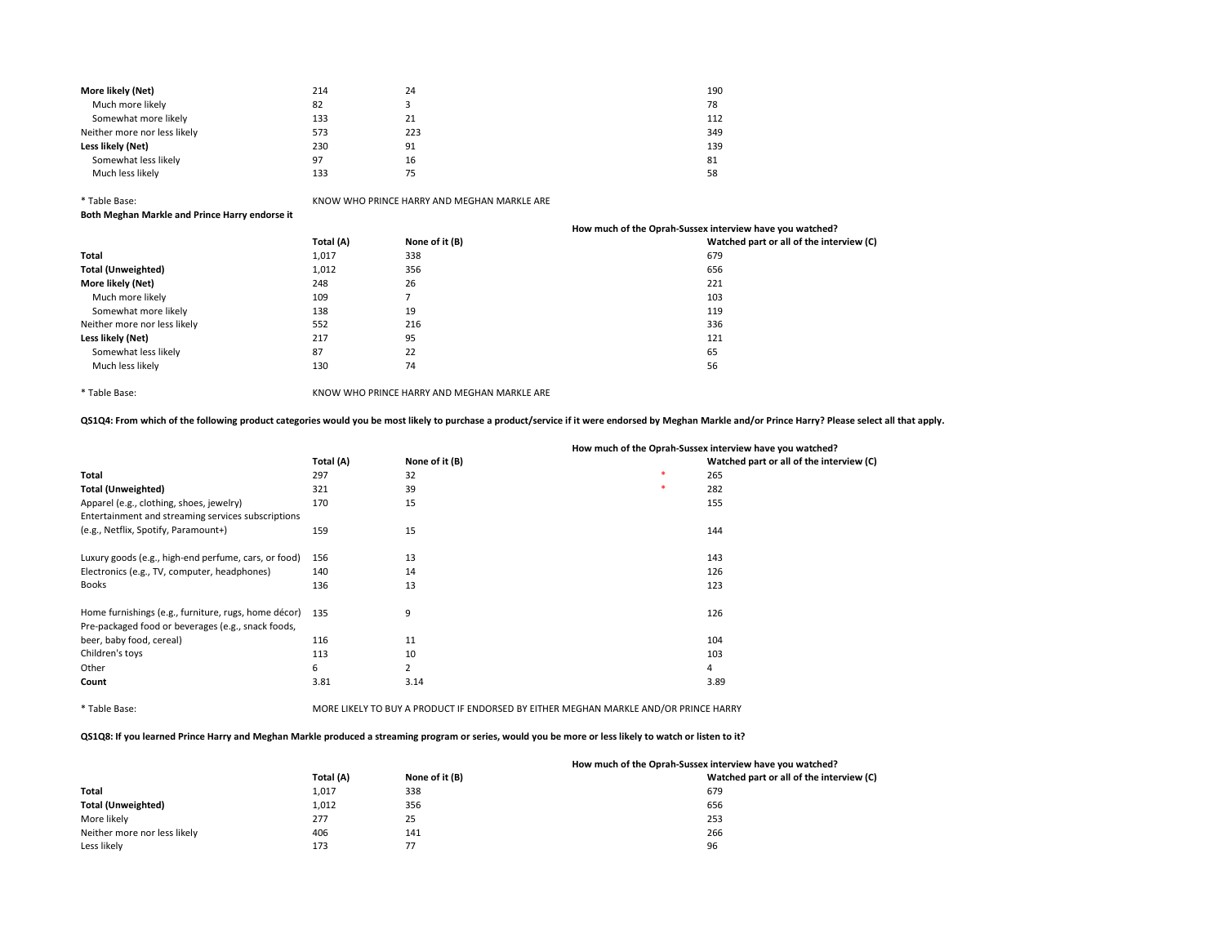| More likely (Net)            | 214 | 24  | 190 |
|------------------------------|-----|-----|-----|
| Much more likely             | 82  |     | 78  |
| Somewhat more likely         | 133 | 21  | 112 |
| Neither more nor less likely | 573 | 223 | 349 |
| Less likely (Net)            | 230 | 91  | 139 |
| Somewhat less likely         | 97  | 16  | 81  |
| Much less likely             | 133 | 75  | 58  |

\* Table Base: KNOW WHO PRINCE HARRY AND MEGHAN MARKLE ARE

Both Meghan Markle and Prince Harry endorse it

|           |                | How much of the Oprah-Sussex interview have you watched? |
|-----------|----------------|----------------------------------------------------------|
| Total (A) | None of it (B) | Watched part or all of the interview (C)                 |
| 1,017     | 338            | 679                                                      |
| 1,012     | 356            | 656                                                      |
| 248       | 26             | 221                                                      |
| 109       |                | 103                                                      |
| 138       | 19             | 119                                                      |
| 552       | 216            | 336                                                      |
| 217       | 95             | 121                                                      |
| 87        | 22             | 65                                                       |
| 130       | 74             | 56                                                       |
|           |                |                                                          |

\* Table Base: KNOW WHO PRINCE HARRY AND MEGHAN MARKLE ARE

QS1Q4: From which of the following product categories would you be most likely to purchase a product/service if it were endorsed by Meghan Markle and/or Prince Harry? Please select all that apply.

|                                                      | Total (A) | None of it (B) |   | Watched part or all of the interview (C) |
|------------------------------------------------------|-----------|----------------|---|------------------------------------------|
| Total                                                | 297       | 32             | 米 | 265                                      |
| <b>Total (Unweighted)</b>                            | 321       | 39             | 米 | 282                                      |
| Apparel (e.g., clothing, shoes, jewelry)             | 170       | 15             |   | 155                                      |
| Entertainment and streaming services subscriptions   |           |                |   |                                          |
| (e.g., Netflix, Spotify, Paramount+)                 | 159       | 15             |   | 144                                      |
| Luxury goods (e.g., high-end perfume, cars, or food) | 156       | 13             |   | 143                                      |
| Electronics (e.g., TV, computer, headphones)         | 140       | 14             |   | 126                                      |
| <b>Books</b>                                         | 136       | 13             |   | 123                                      |
| Home furnishings (e.g., furniture, rugs, home décor) | 135       | 9              |   | 126                                      |
| Pre-packaged food or beverages (e.g., snack foods,   |           |                |   |                                          |
| beer, baby food, cereal)                             | 116       | 11             |   | 104                                      |
| Children's toys                                      | 113       | 10             |   | 103                                      |
| Other                                                | 6         | 2              |   | 4                                        |
| Count                                                | 3.81      | 3.14           |   | 3.89                                     |
|                                                      |           |                |   |                                          |

# How much of the Oprah-Sussex interview have you watched?

\* Table Base: MORE LIKELY TO BUY A PRODUCT IF ENDORSED BY EITHER MEGHAN MARKLE AND/OR PRINCE HARRY QS1Q8: If you learned Prince Harry and Meghan Markle produced a streaming program or series, would you be more or less likely to watch or listen to it?

|                              |           |                | How much of the Oprah-Sussex interview have you watched? |
|------------------------------|-----------|----------------|----------------------------------------------------------|
|                              | Total (A) | None of it (B) | Watched part or all of the interview (C)                 |
| <b>Total</b>                 | 1.017     | 338            | 679                                                      |
| <b>Total (Unweighted)</b>    | 1,012     | 356            | 656                                                      |
| More likely                  | 277       | 25             | 253                                                      |
| Neither more nor less likely | 406       | 141            | 266                                                      |
| Less likely                  | 173       |                | 96                                                       |